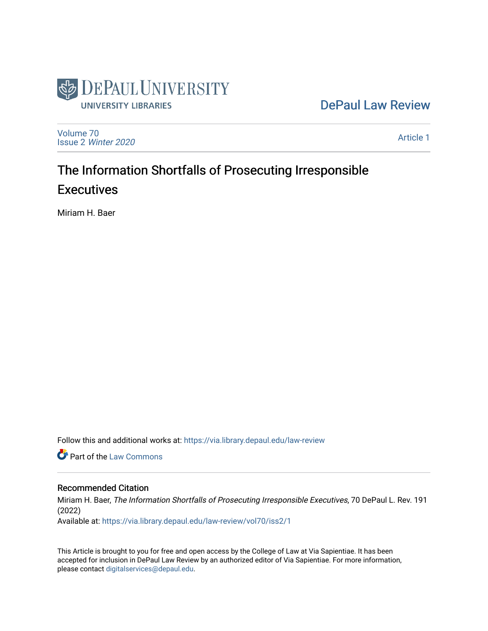

# [DePaul Law Review](https://via.library.depaul.edu/law-review)

[Volume 70](https://via.library.depaul.edu/law-review/vol70) Issue 2 [Winter 2020](https://via.library.depaul.edu/law-review/vol70/iss2) 

[Article 1](https://via.library.depaul.edu/law-review/vol70/iss2/1) 

# The Information Shortfalls of Prosecuting Irresponsible **Executives**

Miriam H. Baer

Follow this and additional works at: [https://via.library.depaul.edu/law-review](https://via.library.depaul.edu/law-review?utm_source=via.library.depaul.edu%2Flaw-review%2Fvol70%2Fiss2%2F1&utm_medium=PDF&utm_campaign=PDFCoverPages) 

**C** Part of the [Law Commons](http://network.bepress.com/hgg/discipline/578?utm_source=via.library.depaul.edu%2Flaw-review%2Fvol70%2Fiss2%2F1&utm_medium=PDF&utm_campaign=PDFCoverPages)

# Recommended Citation

Miriam H. Baer, The Information Shortfalls of Prosecuting Irresponsible Executives, 70 DePaul L. Rev. 191 (2022)

Available at: [https://via.library.depaul.edu/law-review/vol70/iss2/1](https://via.library.depaul.edu/law-review/vol70/iss2/1?utm_source=via.library.depaul.edu%2Flaw-review%2Fvol70%2Fiss2%2F1&utm_medium=PDF&utm_campaign=PDFCoverPages) 

This Article is brought to you for free and open access by the College of Law at Via Sapientiae. It has been accepted for inclusion in DePaul Law Review by an authorized editor of Via Sapientiae. For more information, please contact [digitalservices@depaul.edu.](mailto:digitalservices@depaul.edu)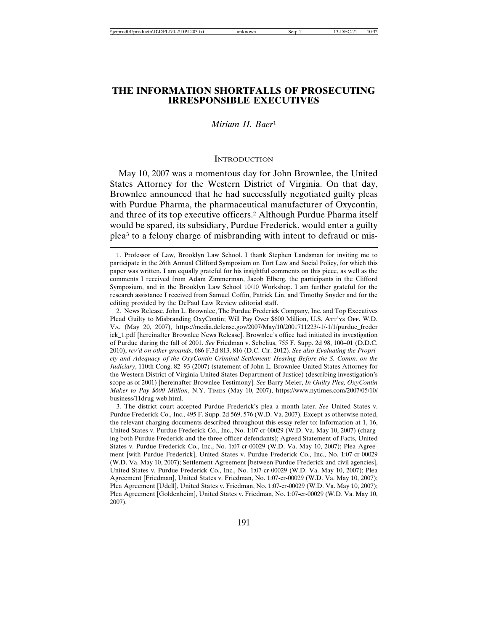# **THE INFORMATION SHORTFALLS OF PROSECUTING IRRESPONSIBLE EXECUTIVES**

## *Miriam H. Baer*<sup>1</sup>

#### **INTRODUCTION**

May 10, 2007 was a momentous day for John Brownlee, the United States Attorney for the Western District of Virginia. On that day, Brownlee announced that he had successfully negotiated guilty pleas with Purdue Pharma, the pharmaceutical manufacturer of Oxycontin, and three of its top executive officers.2 Although Purdue Pharma itself would be spared, its subsidiary, Purdue Frederick, would enter a guilty plea3 to a felony charge of misbranding with intent to defraud or mis-

3. The district court accepted Purdue Frederick's plea a month later. *See* United States v. Purdue Frederick Co., Inc., 495 F. Supp. 2d 569, 576 (W.D. Va. 2007). Except as otherwise noted, the relevant charging documents described throughout this essay refer to: Information at 1, 16, United States v. Purdue Frederick Co., Inc., No. 1:07-cr-00029 (W.D. Va. May 10, 2007) (charging both Purdue Frederick and the three officer defendants); Agreed Statement of Facts, United States v. Purdue Frederick Co., Inc., No. 1:07-cr-00029 (W.D. Va. May 10, 2007); Plea Agreement [with Purdue Frederick], United States v. Purdue Frederick Co., Inc., No. 1:07-cr-00029 (W.D. Va. May 10, 2007); Settlement Agreement [between Purdue Frederick and civil agencies], United States v. Purdue Frederick Co., Inc., No. 1:07-cr-00029 (W.D. Va. May 10, 2007); Plea Agreement [Friedman], United States v. Friedman, No. 1:07-cr-00029 (W.D. Va. May 10, 2007); Plea Agreement [Udell], United States v. Friedman, No. 1:07-cr-00029 (W.D. Va. May 10, 2007); Plea Agreement [Goldenheim], United States v. Friedman, No. 1:07-cr-00029 (W.D. Va. May 10, 2007).

<sup>1.</sup> Professor of Law, Brooklyn Law School. I thank Stephen Landsman for inviting me to participate in the 26th Annual Clifford Symposium on Tort Law and Social Policy, for which this paper was written. I am equally grateful for his insightful comments on this piece, as well as the comments I received from Adam Zimmerman, Jacob Elberg, the participants in the Clifford Symposium, and in the Brooklyn Law School 10/10 Workshop. I am further grateful for the research assistance I received from Samuel Coffin, Patrick Lin, and Timothy Snyder and for the editing provided by the DePaul Law Review editorial staff.

<sup>2.</sup> News Release, John L. Brownlee, The Purdue Frederick Company, Inc. and Top Executives Plead Guilty to Misbranding OxyContin; Will Pay Over \$600 Million, U.S. ATT'YS OFF. W.D. VA. (May 20, 2007), https://media.defense.gov/2007/May/10/2001711223/-1/-1/1/purdue\_freder ick\_1.pdf [hereinafter Brownlee News Release]. Brownlee's office had initiated its investigation of Purdue during the fall of 2001. *See* Friedman v. Sebelius, 755 F. Supp. 2d 98, 100–01 (D.D.C. 2010), *rev'd on other grounds*, 686 F.3d 813, 816 (D.C. Cir. 2012). *See also Evaluating the Propriety and Adequacy of the OxyContin Criminal Settlement: Hearing Before the S. Comm. on the Judiciary*, 110th Cong. 82–93 (2007) (statement of John L. Brownlee United States Attorney for the Western District of Virginia United States Department of Justice) (describing investigation's scope as of 2001) [hereinafter Brownlee Testimony]. *See* Barry Meier, *In Guilty Plea, OxyContin Maker to Pay \$600 Million*, N.Y. TIMES (May 10, 2007), https://www.nytimes.com/2007/05/10/ business/11drug-web.html.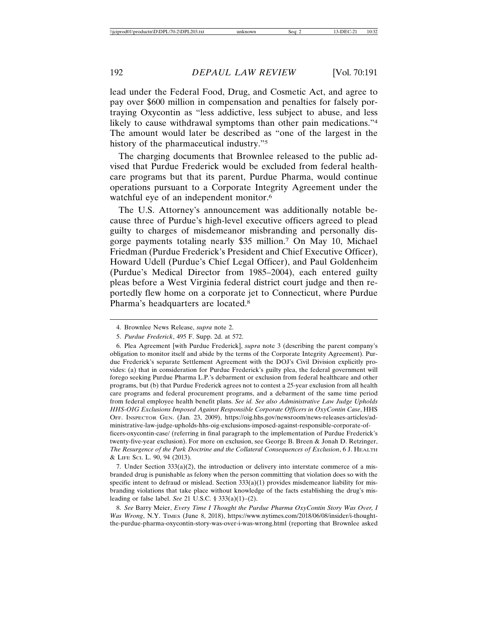lead under the Federal Food, Drug, and Cosmetic Act, and agree to pay over \$600 million in compensation and penalties for falsely portraying Oxycontin as "less addictive, less subject to abuse, and less likely to cause withdrawal symptoms than other pain medications."<sup>4</sup> The amount would later be described as "one of the largest in the history of the pharmaceutical industry."5

The charging documents that Brownlee released to the public advised that Purdue Frederick would be excluded from federal healthcare programs but that its parent, Purdue Pharma, would continue operations pursuant to a Corporate Integrity Agreement under the watchful eye of an independent monitor.<sup>6</sup>

The U.S. Attorney's announcement was additionally notable because three of Purdue's high-level executive officers agreed to plead guilty to charges of misdemeanor misbranding and personally disgorge payments totaling nearly \$35 million.7 On May 10, Michael Friedman (Purdue Frederick's President and Chief Executive Officer), Howard Udell (Purdue's Chief Legal Officer), and Paul Goldenheim (Purdue's Medical Director from 1985–2004), each entered guilty pleas before a West Virginia federal district court judge and then reportedly flew home on a corporate jet to Connecticut, where Purdue Pharma's headquarters are located.8

6. Plea Agreement [with Purdue Frederick], *supra* note 3 (describing the parent company's obligation to monitor itself and abide by the terms of the Corporate Integrity Agreement). Purdue Frederick's separate Settlement Agreement with the DOJ's Civil Division explicitly provides: (a) that in consideration for Purdue Frederick's guilty plea, the federal government will forego seeking Purdue Pharma L.P.'s debarment or exclusion from federal healthcare and other programs, but (b) that Purdue Frederick agrees not to contest a 25-year exclusion from all health care programs and federal procurement programs, and a debarment of the same time period from federal employee health benefit plans. *See id. See also Administrative Law Judge Upholds HHS-OIG Exclusions Imposed Against Responsible Corporate Officers in OxyContin Case*, HHS OFF. INSPECTOR GEN. (Jan. 23, 2009), https://oig.hhs.gov/newsroom/news-releases-articles/administrative-law-judge-upholds-hhs-oig-exclusions-imposed-against-responsible-corporate-officers-oxycontin-case/ (referring in final paragraph to the implementation of Purdue Frederick's twenty-five-year exclusion). For more on exclusion, see George B. Breen & Jonah D. Retzinger, *The Resurgence of the Park Doctrine and the Collateral Consequences of Exclusion*, 6 J. HEALTH & LIFE SCI. L. 90, 94 (2013).

7. Under Section  $333(a)(2)$ , the introduction or delivery into interstate commerce of a misbranded drug is punishable as felony when the person committing that violation does so with the specific intent to defraud or mislead. Section  $333(a)(1)$  provides misdemeanor liability for misbranding violations that take place without knowledge of the facts establishing the drug's misleading or false label. *See* 21 U.S.C. § 333(a)(1)–(2).

8. *See* Barry Meier, *Every Time I Thought the Purdue Pharma OxyContin Story Was Over, I Was Wrong*, N.Y. TIMES (June 8, 2018), https://www.nytimes.com/2018/06/08/insider/i-thoughtthe-purdue-pharma-oxycontin-story-was-over-i-was-wrong.html (reporting that Brownlee asked

<sup>4.</sup> Brownlee News Release, *supra* note 2.

<sup>5.</sup> *Purdue Frederick*, 495 F. Supp. 2d. at 572.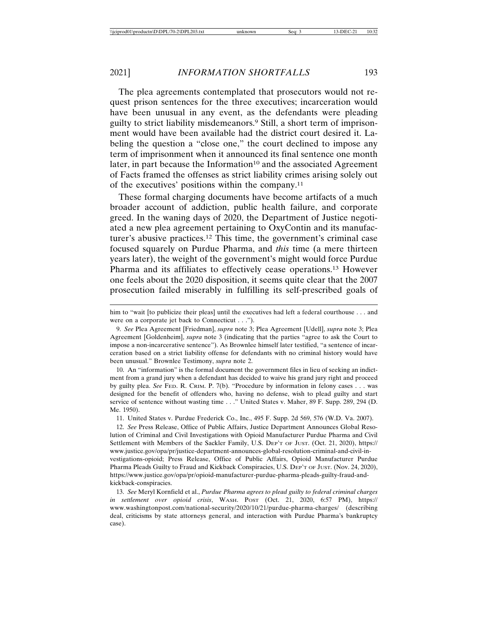The plea agreements contemplated that prosecutors would not request prison sentences for the three executives; incarceration would have been unusual in any event, as the defendants were pleading guilty to strict liability misdemeanors.9 Still, a short term of imprisonment would have been available had the district court desired it. Labeling the question a "close one," the court declined to impose any term of imprisonment when it announced its final sentence one month later, in part because the Information<sup>10</sup> and the associated Agreement of Facts framed the offenses as strict liability crimes arising solely out of the executives' positions within the company.11

These formal charging documents have become artifacts of a much broader account of addiction, public health failure, and corporate greed. In the waning days of 2020, the Department of Justice negotiated a new plea agreement pertaining to OxyContin and its manufacturer's abusive practices.12 This time, the government's criminal case focused squarely on Purdue Pharma, and *this* time (a mere thirteen years later), the weight of the government's might would force Purdue Pharma and its affiliates to effectively cease operations.13 However one feels about the 2020 disposition, it seems quite clear that the 2007 prosecution failed miserably in fulfilling its self-prescribed goals of

10. An "information" is the formal document the government files in lieu of seeking an indictment from a grand jury when a defendant has decided to waive his grand jury right and proceed by guilty plea. *See* FED. R. CRIM. P. 7(b). "Procedure by information in felony cases . . . was designed for the benefit of offenders who, having no defense, wish to plead guilty and start service of sentence without wasting time . . ." United States v. Maher, 89 F. Supp. 289, 294 (D. Me. 1950).

11. United States v. Purdue Frederick Co., Inc., 495 F. Supp. 2d 569, 576 (W.D. Va. 2007).

12. *See* Press Release, Office of Public Affairs, Justice Department Announces Global Resolution of Criminal and Civil Investigations with Opioid Manufacturer Purdue Pharma and Civil Settlement with Members of the Sackler Family, U.S. DEP'T OF JUST. (Oct. 21, 2020), https:// www.justice.gov/opa/pr/justice-department-announces-global-resolution-criminal-and-civil-investigations-opioid; Press Release, Office of Public Affairs, Opioid Manufacturer Purdue Pharma Pleads Guilty to Fraud and Kickback Conspiracies, U.S. DEP'T OF JUST. (Nov. 24, 2020), https://www.justice.gov/opa/pr/opioid-manufacturer-purdue-pharma-pleads-guilty-fraud-andkickback-conspiracies.

13. *See* Meryl Kornfield et al., *Purdue Pharma agrees to plead guilty to federal criminal charges in settlement over opioid crisis*, WASH. POST (Oct. 21, 2020, 6:57 PM), https:// www.washingtonpost.com/national-security/2020/10/21/purdue-pharma-charges/ (describing deal, criticisms by state attorneys general, and interaction with Purdue Pharma's bankruptcy case).

him to "wait [to publicize their pleas] until the executives had left a federal courthouse . . . and were on a corporate jet back to Connecticut . . .").

<sup>9.</sup> *See* Plea Agreement [Friedman], *supra* note 3; Plea Agreement [Udell], *supra* note 3; Plea Agreement [Goldenheim], *supra* note 3 (indicating that the parties "agree to ask the Court to impose a non-incarcerative sentence"). As Brownlee himself later testified, "a sentence of incarceration based on a strict liability offense for defendants with no criminal history would have been unusual." Brownlee Testimony, *supra* note 2.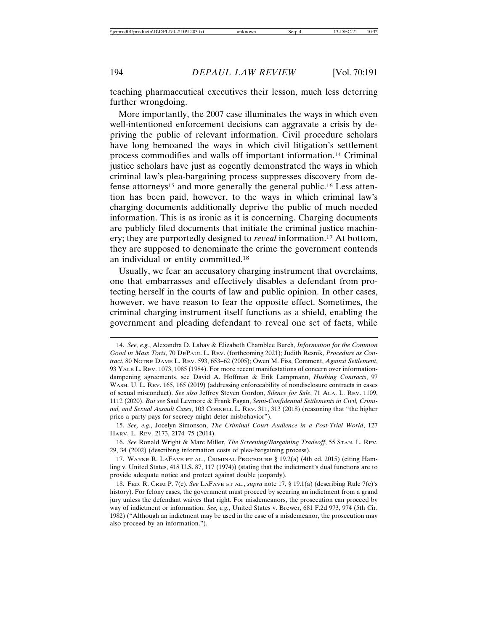teaching pharmaceutical executives their lesson, much less deterring further wrongdoing.

More importantly, the 2007 case illuminates the ways in which even well-intentioned enforcement decisions can aggravate a crisis by depriving the public of relevant information. Civil procedure scholars have long bemoaned the ways in which civil litigation's settlement process commodifies and walls off important information.14 Criminal justice scholars have just as cogently demonstrated the ways in which criminal law's plea-bargaining process suppresses discovery from defense attorneys15 and more generally the general public.16 Less attention has been paid, however, to the ways in which criminal law's charging documents additionally deprive the public of much needed information. This is as ironic as it is concerning. Charging documents are publicly filed documents that initiate the criminal justice machinery; they are purportedly designed to *reveal* information.17 At bottom, they are supposed to denominate the crime the government contends an individual or entity committed.18

Usually, we fear an accusatory charging instrument that overclaims, one that embarrasses and effectively disables a defendant from protecting herself in the courts of law and public opinion. In other cases, however, we have reason to fear the opposite effect. Sometimes, the criminal charging instrument itself functions as a shield, enabling the government and pleading defendant to reveal one set of facts, while

<sup>14.</sup> *See, e.g.*, Alexandra D. Lahav & Elizabeth Chamblee Burch, *Information for the Common Good in Mass Torts*, 70 DEPAUL L. REV. (forthcoming 2021); Judith Resnik, *Procedure as Contract*, 80 NOTRE DAME L. REV. 593, 653–62 (2005); Owen M. Fiss, Comment, *Against Settlement*, 93 YALE L. REV. 1073, 1085 (1984). For more recent manifestations of concern over informationdampening agreements, see David A. Hoffman & Erik Lampmann, *Hushing Contracts*, 97 WASH. U. L. REV. 165, 165 (2019) (addressing enforceability of nondisclosure contracts in cases of sexual misconduct). *See also* Jeffrey Steven Gordon, *Silence for Sale*, 71 ALA. L. REV. 1109, 1112 (2020). *But see* Saul Levmore & Frank Fagan, *Semi-Confidential Settlements in Civil, Criminal, and Sexual Assault Cases*, 103 CORNELL L. REV. 311, 313 (2018) (reasoning that "the higher price a party pays for secrecy might deter misbehavior").

<sup>15.</sup> *See, e.g.*, Jocelyn Simonson, *The Criminal Court Audience in a Post-Trial World*, 127 HARV. L. REV. 2173, 2174–75 (2014).

<sup>16.</sup> *See* Ronald Wright & Marc Miller, *The Screening/Bargaining Tradeoff*, 55 STAN. L. REV. 29, 34 (2002) (describing information costs of plea-bargaining process).

<sup>17.</sup> WAYNE R. LAFAVE ET AL., CRIMINAL PROCEDURE § 19.2(a) (4th ed. 2015) (citing Hamling v. United States, 418 U.S. 87, 117 (1974)) (stating that the indictment's dual functions are to provide adequate notice and protect against double jeopardy).

<sup>18.</sup> FED. R. CRIM P. 7(c). *See* LAFAVE ET AL., *supra* note 17, § 19.1(a) (describing Rule 7(c)'s history). For felony cases, the government must proceed by securing an indictment from a grand jury unless the defendant waives that right. For misdemeanors, the prosecution can proceed by way of indictment or information. *See, e.g.*, United States v. Brewer, 681 F.2d 973, 974 (5th Cir. 1982) ("Although an indictment may be used in the case of a misdemeanor, the prosecution may also proceed by an information.").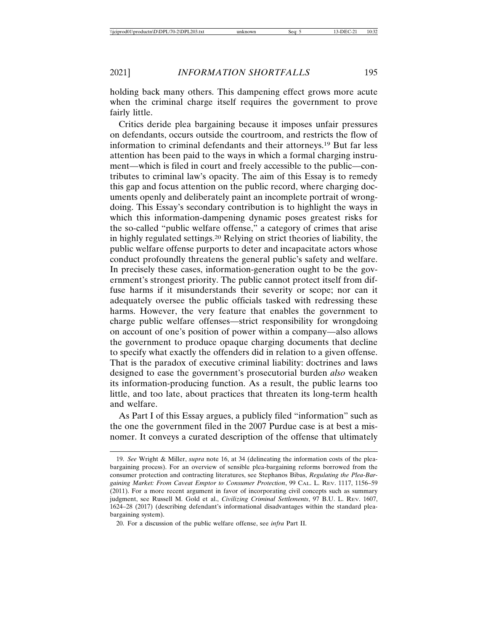holding back many others. This dampening effect grows more acute when the criminal charge itself requires the government to prove fairly little.

Critics deride plea bargaining because it imposes unfair pressures on defendants, occurs outside the courtroom, and restricts the flow of information to criminal defendants and their attorneys.19 But far less attention has been paid to the ways in which a formal charging instrument—which is filed in court and freely accessible to the public—contributes to criminal law's opacity. The aim of this Essay is to remedy this gap and focus attention on the public record, where charging documents openly and deliberately paint an incomplete portrait of wrongdoing. This Essay's secondary contribution is to highlight the ways in which this information-dampening dynamic poses greatest risks for the so-called "public welfare offense," a category of crimes that arise in highly regulated settings.20 Relying on strict theories of liability, the public welfare offense purports to deter and incapacitate actors whose conduct profoundly threatens the general public's safety and welfare. In precisely these cases, information-generation ought to be the government's strongest priority. The public cannot protect itself from diffuse harms if it misunderstands their severity or scope; nor can it adequately oversee the public officials tasked with redressing these harms. However, the very feature that enables the government to charge public welfare offenses—strict responsibility for wrongdoing on account of one's position of power within a company—also allows the government to produce opaque charging documents that decline to specify what exactly the offenders did in relation to a given offense. That is the paradox of executive criminal liability: doctrines and laws designed to ease the government's prosecutorial burden *also* weaken its information-producing function. As a result, the public learns too little, and too late, about practices that threaten its long-term health and welfare.

As Part I of this Essay argues, a publicly filed "information" such as the one the government filed in the 2007 Purdue case is at best a misnomer. It conveys a curated description of the offense that ultimately

<sup>19.</sup> *See* Wright & Miller, *supra* note 16, at 34 (delineating the information costs of the pleabargaining process). For an overview of sensible plea-bargaining reforms borrowed from the consumer protection and contracting literatures, see Stephanos Bibas, *Regulating the Plea-Bargaining Market: From Caveat Emptor to Consumer Protection*, 99 CAL. L. REV. 1117, 1156–59 (2011). For a more recent argument in favor of incorporating civil concepts such as summary judgment, see Russell M. Gold et al., *Civilizing Criminal Settlements*, 97 B.U. L. REV. 1607, 1624–28 (2017) (describing defendant's informational disadvantages within the standard pleabargaining system).

<sup>20.</sup> For a discussion of the public welfare offense, see *infra* Part II.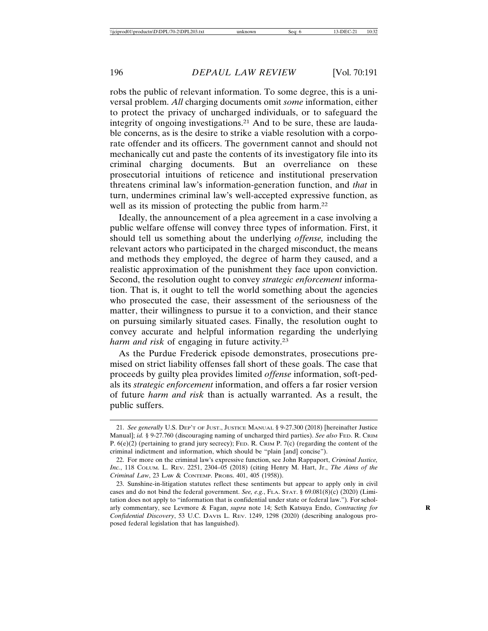robs the public of relevant information. To some degree, this is a universal problem. *All* charging documents omit *some* information, either to protect the privacy of uncharged individuals, or to safeguard the integrity of ongoing investigations.21 And to be sure, these are laudable concerns, as is the desire to strike a viable resolution with a corporate offender and its officers. The government cannot and should not mechanically cut and paste the contents of its investigatory file into its criminal charging documents. But an overreliance on these prosecutorial intuitions of reticence and institutional preservation threatens criminal law's information-generation function, and *that* in turn, undermines criminal law's well-accepted expressive function, as well as its mission of protecting the public from harm.<sup>22</sup>

Ideally, the announcement of a plea agreement in a case involving a public welfare offense will convey three types of information. First, it should tell us something about the underlying *offense,* including the relevant actors who participated in the charged misconduct, the means and methods they employed, the degree of harm they caused, and a realistic approximation of the punishment they face upon conviction. Second, the resolution ought to convey *strategic enforcement* information. That is, it ought to tell the world something about the agencies who prosecuted the case, their assessment of the seriousness of the matter, their willingness to pursue it to a conviction, and their stance on pursuing similarly situated cases. Finally, the resolution ought to convey accurate and helpful information regarding the underlying *harm and risk* of engaging in future activity.23

As the Purdue Frederick episode demonstrates, prosecutions premised on strict liability offenses fall short of these goals. The case that proceeds by guilty plea provides limited *offense* information, soft-pedals its *strategic enforcement* information, and offers a far rosier version of future *harm and risk* than is actually warranted. As a result, the public suffers.

<sup>21.</sup> *See generally* U.S. DEP'T OF JUST., JUSTICE MANUAL § 9-27.300 (2018) [hereinafter Justice Manual]; *id.* § 9-27.760 (discouraging naming of uncharged third parties). *See also* FED. R. CRIM P. 6(e)(2) (pertaining to grand jury secrecy); FED. R. CRIM P. 7(c) (regarding the content of the criminal indictment and information, which should be "plain [and] concise").

<sup>22.</sup> For more on the criminal law's expressive function, see John Rappaport, *Criminal Justice, Inc.*, 118 COLUM. L. REV. 2251, 2304–05 (2018) (citing Henry M. Hart, Jr., *The Aims of the Criminal Law*, 23 LAW & CONTEMP. PROBS. 401, 405 (1958)).

<sup>23.</sup> Sunshine-in-litigation statutes reflect these sentiments but appear to apply only in civil cases and do not bind the federal government. *See, e.g.*, FLA. STAT. § 69.081(8)(c) (2020) (Limitation does not apply to "information that is confidential under state or federal law.")*.* For scholarly commentary, see Levmore & Fagan, *supra* note 14; Seth Katsuya Endo, *Contracting for* **R** *Confidential Discovery*, 53 U.C. DAVIS L. REV. 1249, 1298 (2020) (describing analogous proposed federal legislation that has languished).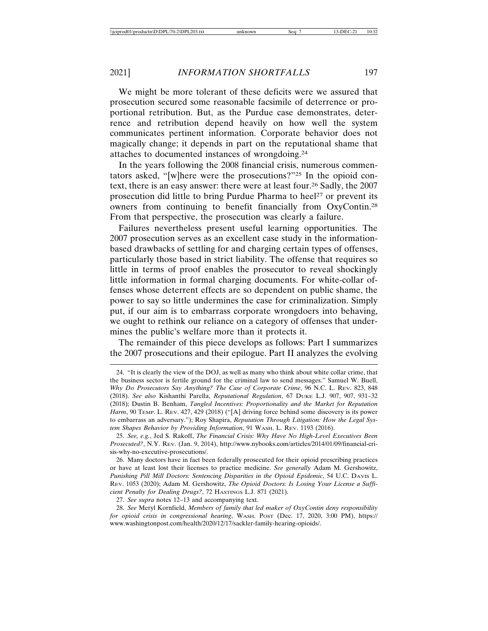We might be more tolerant of these deficits were we assured that prosecution secured some reasonable facsimile of deterrence or proportional retribution. But, as the Purdue case demonstrates, deterrence and retribution depend heavily on how well the system communicates pertinent information. Corporate behavior does not magically change; it depends in part on the reputational shame that attaches to documented instances of wrongdoing.24

In the years following the 2008 financial crisis, numerous commentators asked, "[w]here were the prosecutions?"25 In the opioid context, there is an easy answer: there were at least four.26 Sadly, the 2007 prosecution did little to bring Purdue Pharma to heel<sup>27</sup> or prevent its owners from continuing to benefit financially from OxyContin.28 From that perspective, the prosecution was clearly a failure.

Failures nevertheless present useful learning opportunities. The 2007 prosecution serves as an excellent case study in the informationbased drawbacks of settling for and charging certain types of offenses, particularly those based in strict liability. The offense that requires so little in terms of proof enables the prosecutor to reveal shockingly little information in formal charging documents. For white-collar offenses whose deterrent effects are so dependent on public shame, the power to say so little undermines the case for criminalization. Simply put, if our aim is to embarrass corporate wrongdoers into behaving, we ought to rethink our reliance on a category of offenses that undermines the public's welfare more than it protects it.

The remainder of this piece develops as follows: Part I summarizes the 2007 prosecutions and their epilogue. Part II analyzes the evolving

27. *See supra* notes 12–13 and accompanying text.

28. *See* Meryl Kornfield, *Members of family that led maker of OxyContin deny responsibility for opioid crisis in congressional hearing*, WASH. POST (Dec. 17, 2020, 3:00 PM), https:// www.washingtonpost.com/health/2020/12/17/sackler-family-hearing-opioids/.

<sup>24. &</sup>quot;It is clearly the view of the DOJ, as well as many who think about white collar crime, that the business sector is fertile ground for the criminal law to send messages." Samuel W. Buell, *Why Do Prosecutors Say Anything? The Case of Corporate Crime*, 96 N.C. L. REV. 823, 848 (2018). *See also* Kishanthi Parella, *Reputational Regulation*, 67 DUKE L.J. 907, 907, 931–32 (2018); Dustin B. Benham, *Tangled Incentives: Proportionality and the Market for Reputation* Harm, 90 TEMP. L. REV. 427, 429 (2018) ("[A] driving force behind some discovery is its power to embarrass an adversary."); Roy Shapira, *Reputation Through Litigation: How the Legal System Shapes Behavior by Providing Information*, 91 WASH. L. REV. 1193 (2016).

<sup>25.</sup> *See, e.g.*, Jed S. Rakoff, *The Financial Crisis: Why Have No High-Level Executives Been Prosecuted?*, N.Y. REV. (Jan. 9, 2014), http://www.nybooks.com/articles/2014/01/09/financial-crisis-why-no-executive-prosecutions/.

<sup>26.</sup> Many doctors have in fact been federally prosecuted for their opioid prescribing practices or have at least lost their licenses to practice medicine. *See generally* Adam M. Gershowitz, *Punishing Pill Mill Doctors: Sentencing Disparities in the Opioid Epidemic*, 54 U.C. DAVIS L. REV. 1053 (2020); Adam M. Gershowitz, *The Opioid Doctors: Is Losing Your License a Sufficient Penalty for Dealing Drugs?*, 72 HASTINGS L.J. 871 (2021).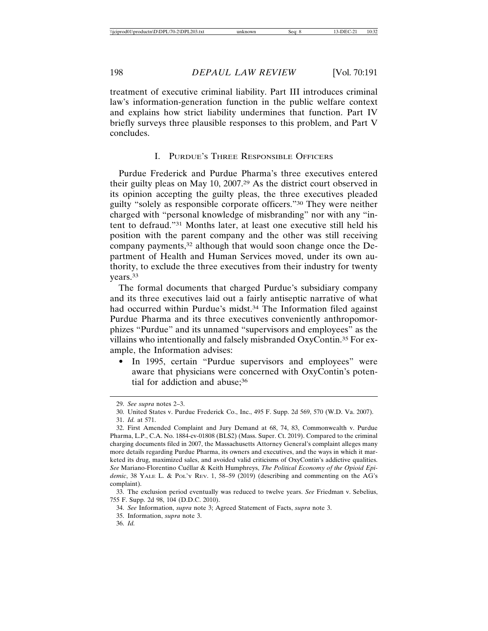treatment of executive criminal liability. Part III introduces criminal law's information-generation function in the public welfare context and explains how strict liability undermines that function. Part IV briefly surveys three plausible responses to this problem, and Part V concludes.

#### I. PURDUE'S THREE RESPONSIBLE OFFICERS

Purdue Frederick and Purdue Pharma's three executives entered their guilty pleas on May 10, 2007.29 As the district court observed in its opinion accepting the guilty pleas, the three executives pleaded guilty "solely as responsible corporate officers."30 They were neither charged with "personal knowledge of misbranding" nor with any "intent to defraud."31 Months later, at least one executive still held his position with the parent company and the other was still receiving company payments,<sup>32</sup> although that would soon change once the Department of Health and Human Services moved, under its own authority, to exclude the three executives from their industry for twenty years.33

The formal documents that charged Purdue's subsidiary company and its three executives laid out a fairly antiseptic narrative of what had occurred within Purdue's midst.<sup>34</sup> The Information filed against Purdue Pharma and its three executives conveniently anthropomorphizes "Purdue" and its unnamed "supervisors and employees" as the villains who intentionally and falsely misbranded OxyContin.35 For example, the Information advises:

In 1995, certain "Purdue supervisors and employees" were aware that physicians were concerned with OxyContin's potential for addiction and abuse;<sup>36</sup>

<sup>29.</sup> *See supra* notes 2–3.

<sup>30.</sup> United States v. Purdue Frederick Co., Inc., 495 F. Supp. 2d 569, 570 (W.D. Va. 2007). 31. *Id.* at 571.

<sup>32.</sup> First Amended Complaint and Jury Demand at 68, 74, 83, Commonwealth v. Purdue Pharma, L.P., C.A. No. 1884-cv-01808 (BLS2) (Mass. Super. Ct. 2019). Compared to the criminal charging documents filed in 2007, the Massachusetts Attorney General's complaint alleges many more details regarding Purdue Pharma, its owners and executives, and the ways in which it marketed its drug, maximized sales, and avoided valid criticisms of OxyContin's addictive qualities. See Mariano-Florentino Cuéllar & Keith Humphreys, *The Political Economy of the Opioid Epidemic*, 38 YALE L. & POL'Y REV. 1, 58–59 (2019) (describing and commenting on the AG's complaint).

<sup>33.</sup> The exclusion period eventually was reduced to twelve years. *See* Friedman v. Sebelius, 755 F. Supp. 2d 98, 104 (D.D.C. 2010).

<sup>34.</sup> *See* Information, *supra* note 3; Agreed Statement of Facts, *supra* note 3.

<sup>35.</sup> Information, *supra* note 3.

<sup>36.</sup> *Id.*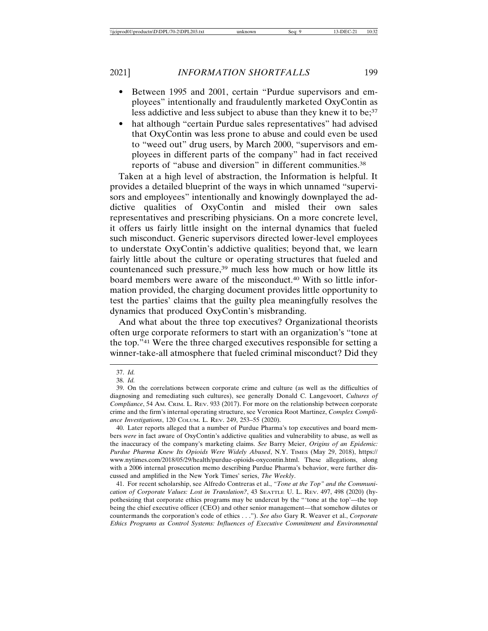- Between 1995 and 2001, certain "Purdue supervisors and employees" intentionally and fraudulently marketed OxyContin as less addictive and less subject to abuse than they knew it to be;<sup>37</sup>
- hat although "certain Purdue sales representatives" had advised that OxyContin was less prone to abuse and could even be used to "weed out" drug users, by March 2000, "supervisors and employees in different parts of the company" had in fact received reports of "abuse and diversion" in different communities.38

Taken at a high level of abstraction, the Information is helpful. It provides a detailed blueprint of the ways in which unnamed "supervisors and employees" intentionally and knowingly downplayed the addictive qualities of OxyContin and misled their own sales representatives and prescribing physicians. On a more concrete level, it offers us fairly little insight on the internal dynamics that fueled such misconduct. Generic supervisors directed lower-level employees to understate OxyContin's addictive qualities; beyond that, we learn fairly little about the culture or operating structures that fueled and countenanced such pressure,<sup>39</sup> much less how much or how little its board members were aware of the misconduct.40 With so little information provided, the charging document provides little opportunity to test the parties' claims that the guilty plea meaningfully resolves the dynamics that produced OxyContin's misbranding.

And what about the three top executives? Organizational theorists often urge corporate reformers to start with an organization's "tone at the top."41 Were the three charged executives responsible for setting a winner-take-all atmosphere that fueled criminal misconduct? Did they

40. Later reports alleged that a number of Purdue Pharma's top executives and board members *were* in fact aware of OxyContin's addictive qualities and vulnerability to abuse, as well as the inaccuracy of the company's marketing claims. *See* Barry Meier, *Origins of an Epidemic: Purdue Pharma Knew Its Opioids Were Widely Abused*, N.Y. TIMES (May 29, 2018), https:// www.nytimes.com/2018/05/29/health/purdue-opioids-oxycontin.html. These allegations, along with a 2006 internal prosecution memo describing Purdue Pharma's behavior, were further discussed and amplified in the New York Times' series, *The Weekly*.

41. For recent scholarship, see Alfredo Contreras et al., *"Tone at the Top" and the Communication of Corporate Values: Lost in Translation?*, 43 SEATTLE U. L. REV. 497, 498 (2020) (hypothesizing that corporate ethics programs may be undercut by the "'tone at the top'—the top being the chief executive officer (CEO) and other senior management—that somehow dilutes or countermands the corporation's code of ethics . . ."). *See also* Gary R. Weaver et al., *Corporate Ethics Programs as Control Systems: Influences of Executive Commitment and Environmental*

<sup>37.</sup> *Id.*

<sup>38.</sup> *Id.*

<sup>39.</sup> On the correlations between corporate crime and culture (as well as the difficulties of diagnosing and remediating such cultures), see generally Donald C. Langevoort, *Cultures of Compliance*, 54 AM. CRIM. L. REV. 933 (2017). For more on the relationship between corporate crime and the firm's internal operating structure, see Veronica Root Martinez, *Complex Compliance Investigations*, 120 COLUM. L. REV. 249, 253–55 (2020).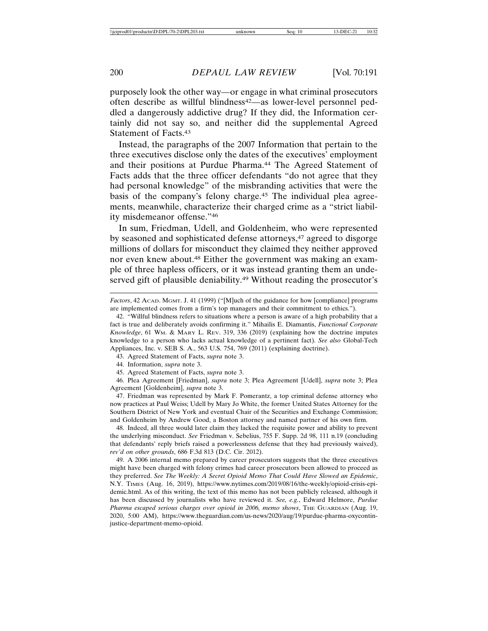purposely look the other way—or engage in what criminal prosecutors often describe as willful blindness<sup>42</sup>—as lower-level personnel peddled a dangerously addictive drug? If they did, the Information certainly did not say so, and neither did the supplemental Agreed Statement of Facts.43

Instead, the paragraphs of the 2007 Information that pertain to the three executives disclose only the dates of the executives' employment and their positions at Purdue Pharma.<sup>44</sup> The Agreed Statement of Facts adds that the three officer defendants "do not agree that they had personal knowledge" of the misbranding activities that were the basis of the company's felony charge.45 The individual plea agreements, meanwhile, characterize their charged crime as a "strict liability misdemeanor offense."46

In sum, Friedman, Udell, and Goldenheim, who were represented by seasoned and sophisticated defense attorneys,<sup>47</sup> agreed to disgorge millions of dollars for misconduct they claimed they neither approved nor even knew about.48 Either the government was making an example of three hapless officers, or it was instead granting them an undeserved gift of plausible deniability.<sup>49</sup> Without reading the prosecutor's

47. Friedman was represented by Mark F. Pomerantz, a top criminal defense attorney who now practices at Paul Weiss; Udell by Mary Jo White, the former United States Attorney for the Southern District of New York and eventual Chair of the Securities and Exchange Commission; and Goldenheim by Andrew Good, a Boston attorney and named partner of his own firm.

48. Indeed, all three would later claim they lacked the requisite power and ability to prevent the underlying misconduct. *See* Friedman v. Sebelius, 755 F. Supp. 2d 98, 111 n.19 (concluding that defendants' reply briefs raised a powerlessness defense that they had previously waived), *rev'd on other grounds*, 686 F.3d 813 (D.C. Cir. 2012).

49. A 2006 internal memo prepared by career prosecutors suggests that the three executives might have been charged with felony crimes had career prosecutors been allowed to proceed as they preferred. *See The Weekly: A Secret Opioid Memo That Could Have Slowed an Epidemic*, N.Y. TIMES (Aug. 16, 2019), https://www.nytimes.com/2019/08/16/the-weekly/opioid-crisis-epidemic.html. As of this writing, the text of this memo has not been publicly released, although it has been discussed by journalists who have reviewed it. *See, e.g.*, Edward Helmore, *Purdue Pharma escaped serious charges over opioid in 2006, memo shows*, THE GUARDIAN (Aug. 19, 2020, 5:00 AM), https://www.theguardian.com/us-news/2020/aug/19/purdue-pharma-oxycontinjustice-department-memo-opioid.

*Factors*, 42 ACAD. MGMT. J. 41 (1999) ("[M]uch of the guidance for how [compliance] programs are implemented comes from a firm's top managers and their commitment to ethics.").

<sup>42. &</sup>quot;Willful blindness refers to situations where a person is aware of a high probability that a fact is true and deliberately avoids confirming it." Mihailis E. Diamantis, *Functional Corporate Knowledge*, 61 WM. & MARY L. REV. 319, 336 (2019) (explaining how the doctrine imputes knowledge to a person who lacks actual knowledge of a pertinent fact). *See also* Global-Tech Appliances, Inc. v. SEB S. A., 563 U.S. 754, 769 (2011) (explaining doctrine).

<sup>43.</sup> Agreed Statement of Facts, *supra* note 3.

<sup>44.</sup> Information, *supra* note 3.

<sup>45.</sup> Agreed Statement of Facts, *supra* note 3.

<sup>46.</sup> Plea Agreement [Friedman], *supra* note 3; Plea Agreement [Udell], *supra* note 3; Plea Agreement [Goldenheim], *supra* note 3.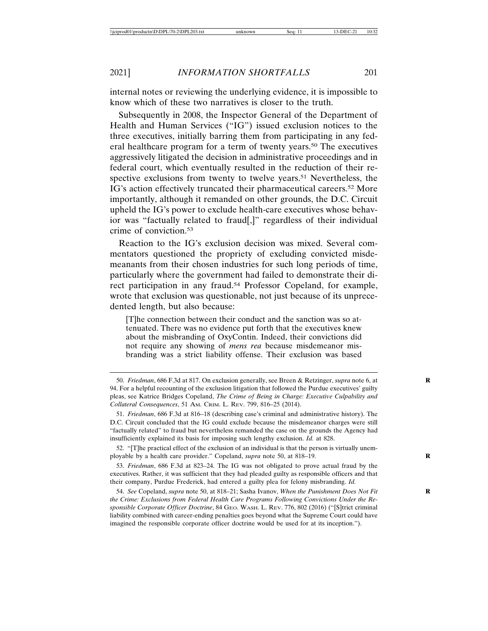internal notes or reviewing the underlying evidence, it is impossible to know which of these two narratives is closer to the truth.

Subsequently in 2008, the Inspector General of the Department of Health and Human Services ("IG") issued exclusion notices to the three executives, initially barring them from participating in any federal healthcare program for a term of twenty years.50 The executives aggressively litigated the decision in administrative proceedings and in federal court, which eventually resulted in the reduction of their respective exclusions from twenty to twelve years.<sup>51</sup> Nevertheless, the IG's action effectively truncated their pharmaceutical careers.52 More importantly, although it remanded on other grounds, the D.C. Circuit upheld the IG's power to exclude health-care executives whose behavior was "factually related to fraud[,]" regardless of their individual crime of conviction.53

Reaction to the IG's exclusion decision was mixed. Several commentators questioned the propriety of excluding convicted misdemeanants from their chosen industries for such long periods of time, particularly where the government had failed to demonstrate their direct participation in any fraud.54 Professor Copeland, for example, wrote that exclusion was questionable, not just because of its unprecedented length, but also because:

[T]he connection between their conduct and the sanction was so attenuated. There was no evidence put forth that the executives knew about the misbranding of OxyContin. Indeed, their convictions did not require any showing of *mens rea* because misdemeanor misbranding was a strict liability offense. Their exclusion was based

52. "[T]he practical effect of the exclusion of an individual is that the person is virtually unemployable by a health care provider." Copeland, *supra* note 50, at 818–19. **R**

53. *Friedman*, 686 F.3d at 823–24. The IG was not obligated to prove actual fraud by the executives. Rather, it was sufficient that they had pleaded guilty as responsible officers and that their company, Purdue Frederick, had entered a guilty plea for felony misbranding. *Id.*

54. *See* Copeland, *supra* note 50, at 818–21; Sasha Ivanov, *When the Punishment Does Not Fit* **R** *the Crime: Exclusions from Federal Health Care Programs Following Convictions Under the Responsible Corporate Officer Doctrine*, 84 GEO. WASH. L. REV. 776, 802 (2016) ("[S]trict criminal liability combined with career-ending penalties goes beyond what the Supreme Court could have imagined the responsible corporate officer doctrine would be used for at its inception.").

<sup>50.</sup> *Friedman*, 686 F.3d at 817. On exclusion generally, see Breen & Retzinger, *supra* note 6, at **R** 94. For a helpful recounting of the exclusion litigation that followed the Purdue executives' guilty pleas, see Katrice Bridges Copeland, *The Crime of Being in Charge: Executive Culpability and Collateral Consequences*, 51 AM. CRIM. L. REV. 799, 816–25 (2014).

<sup>51.</sup> *Friedman*, 686 F.3d at 816–18 (describing case's criminal and administrative history). The D.C. Circuit concluded that the IG could exclude because the misdemeanor charges were still "factually related" to fraud but nevertheless remanded the case on the grounds the Agency had insufficiently explained its basis for imposing such lengthy exclusion. *Id.* at 828.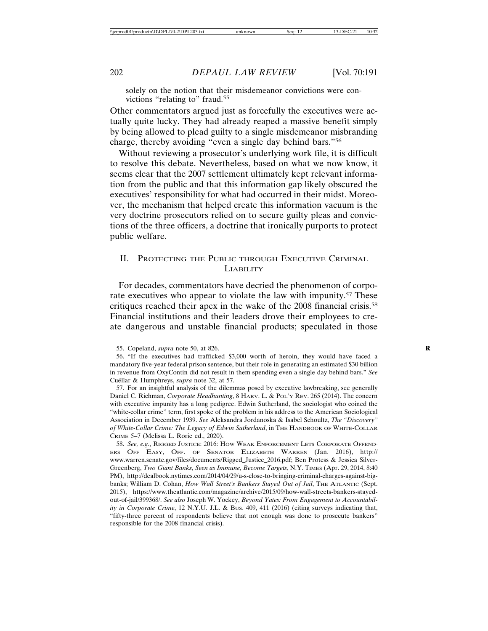solely on the notion that their misdemeanor convictions were convictions "relating to" fraud.<sup>55</sup>

Other commentators argued just as forcefully the executives were actually quite lucky. They had already reaped a massive benefit simply by being allowed to plead guilty to a single misdemeanor misbranding charge, thereby avoiding "even a single day behind bars."56

Without reviewing a prosecutor's underlying work file, it is difficult to resolve this debate. Nevertheless, based on what we now know, it seems clear that the 2007 settlement ultimately kept relevant information from the public and that this information gap likely obscured the executives' responsibility for what had occurred in their midst. Moreover, the mechanism that helped create this information vacuum is the very doctrine prosecutors relied on to secure guilty pleas and convictions of the three officers, a doctrine that ironically purports to protect public welfare.

# II. PROTECTING THE PUBLIC THROUGH EXECUTIVE CRIMINAL LIABILITY

For decades, commentators have decried the phenomenon of corporate executives who appear to violate the law with impunity.<sup>57</sup> These critiques reached their apex in the wake of the 2008 financial crisis.58 Financial institutions and their leaders drove their employees to create dangerous and unstable financial products; speculated in those

<sup>55.</sup> Copeland, *supra* note 50, at 826. **R**

<sup>56. &</sup>quot;If the executives had trafficked \$3,000 worth of heroin, they would have faced a mandatory five-year federal prison sentence, but their role in generating an estimated \$30 billion in revenue from OxyContin did not result in them spending even a single day behind bars." *See* Cuéllar & Humphreys, *supra* note 32, at 57.

<sup>57.</sup> For an insightful analysis of the dilemmas posed by executive lawbreaking, see generally Daniel C. Richman, *Corporate Headhunting*, 8 HARV. L. & POL'Y REV. 265 (2014). The concern with executive impunity has a long pedigree. Edwin Sutherland, the sociologist who coined the "white-collar crime" term, first spoke of the problem in his address to the American Sociological Association in December 1939. *See* Aleksandra Jordanoska & Isabel Schoultz, *The "Discovery" of White-Collar Crime: The Legacy of Edwin Sutherland*, in THE HANDBOOK OF WHITE-COLLAR CRIME 5–7 (Melissa L. Rorie ed., 2020).

<sup>58.</sup> *See, e.g.*, RIGGED JUSTICE: 2016: HOW WEAK ENFORCEMENT LETS CORPORATE OFFEND-ERS OFF EASY, OFF. OF SENATOR ELIZABETH WARREN (Jan. 2016), http:// www.warren.senate.gov/files/documents/Rigged\_Justice\_2016.pdf; Ben Protess & Jessica Silver-Greenberg, *Two Giant Banks, Seen as Immune, Become Targets*, N.Y. TIMES (Apr. 29, 2014, 8:40 PM), http://dealbook.nytimes.com/2014/04/29/u-s-close-to-bringing-criminal-charges-against-bigbanks; William D. Cohan, *How Wall Street's Bankers Stayed Out of Jail*, THE ATLANTIC (Sept. 2015), https://www.theatlantic.com/magazine/archive/2015/09/how-wall-streets-bankers-stayedout-of-jail/399368/. *See also* Joseph W. Yockey, *Beyond Yates: From Engagement to Accountability in Corporate Crime*, 12 N.Y.U. J.L. & BUS. 409, 411 (2016) (citing surveys indicating that, "fifty-three percent of respondents believe that not enough was done to prosecute bankers" responsible for the 2008 financial crisis).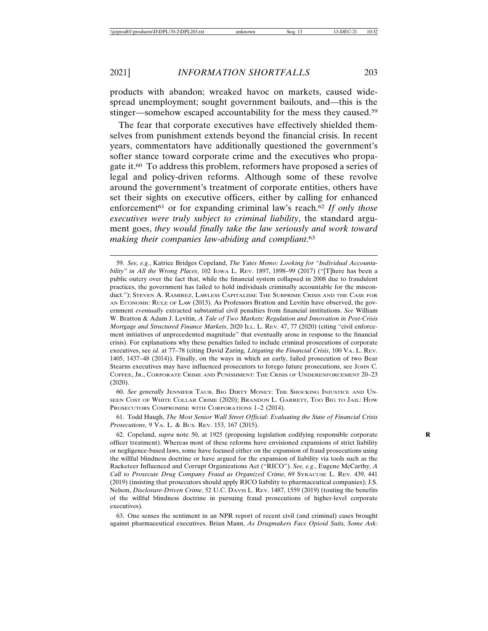products with abandon; wreaked havoc on markets, caused widespread unemployment; sought government bailouts, and—this is the stinger—somehow escaped accountability for the mess they caused.59

The fear that corporate executives have effectively shielded themselves from punishment extends beyond the financial crisis. In recent years, commentators have additionally questioned the government's softer stance toward corporate crime and the executives who propagate it.60 To address this problem, reformers have proposed a series of legal and policy-driven reforms. Although some of these revolve around the government's treatment of corporate entities, others have set their sights on executive officers, either by calling for enhanced enforcement<sup>61</sup> or for expanding criminal law's reach.<sup>62</sup> If only those *executives were truly subject to criminal liability*, the standard argument goes, *they would finally take the law seriously and work toward making their companies law-abiding and compliant*. 63

60. *See generally* JENNIFER TAUB, BIG DIRTY MONEY: THE SHOCKING INJUSTICE AND UN-SEEN COST OF WHITE COLLAR CRIME (2020); BRANDON L. GARRETT, TOO BIG TO JAIL: HOW PROSECUTORS COMPROMISE WITH CORPORATIONS 1–2 (2014).

61. Todd Haugh, *The Most Senior Wall Street Official: Evaluating the State of Financial Crisis Prosecutions*, 9 VA. L. & BUS. REV. 153, 167 (2015).

63. One senses the sentiment in an NPR report of recent civil (and criminal) cases brought against pharmaceutical executives. Brian Mann, *As Drugmakers Face Opioid Suits, Some Ask:*

<sup>59.</sup> *See, e.g.*, Katrice Bridges Copeland, *The Yates Memo: Looking for "Individual Accountability" in All the Wrong Places*, 102 IOWA L. REV. 1897, 1898–99 (2017) ("[T]here has been a public outcry over the fact that, while the financial system collapsed in 2008 due to fraudulent practices, the government has failed to hold individuals criminally accountable for the misconduct."); STEVEN A. RAMIREZ, LAWLESS CAPITALISM: THE SUBPRIME CRISIS AND THE CASE FOR AN ECONOMIC RULE OF LAW (2013). As Professors Bratton and Levitin have observed, the government *eventually* extracted substantial civil penalties from financial institutions. *See* William W. Bratton & Adam J. Levitin, *A Tale of Two Markets: Regulation and Innovation in Post-Crisis Mortgage and Structured Finance Markets*, 2020 ILL. L. REV. 47, 77 (2020) (citing "civil enforcement initiatives of unprecedented magnitude" that eventually arose in response to the financial crisis). For explanations why these penalties failed to include criminal prosecutions of corporate executives, see *id.* at 77–78 (citing David Zaring, *Litigating the Financial Crisis*, 100 VA. L. REV. 1405, 1437–48 (2014)). Finally, on the ways in which an early, failed prosecution of two Bear Stearns executives may have influenced prosecutors to forego future prosecutions, see JOHN C. COFFEE, JR., CORPORATE CRIME AND PUNISHMENT: THE CRISIS OF UNDERENFORCEMENT 20–23 (2020).

<sup>62.</sup> Copeland, *supra* note 50, at 1925 (proposing legislation codifying responsible corporate **R** officer treatment). Whereas most of these reforms have envisioned expansions of strict liability or negligence-based laws, some have focused either on the expansion of fraud prosecutions using the willful blindness doctrine or have argued for the expansion of liability via tools such as the Racketeer Influenced and Corrupt Organizations Act ("RICO"). *See, e.g.*, Eugene McCarthy, *A Call to Prosecute Drug Company Fraud as Organized Crime*, 69 SYRACUSE L. REV. 439, 441 (2019) (insisting that prosecutors should apply RICO liability to pharmaceutical companies); J.S. Nelson, *Disclosure-Driven Crime*, 52 U.C. DAVIS L. REV. 1487, 1559 (2019) (touting the benefits of the willful blindness doctrine in pursuing fraud prosecutions of higher-level corporate executives).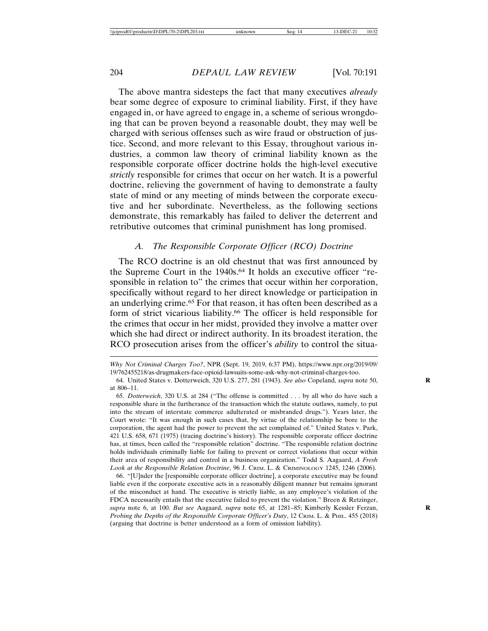The above mantra sidesteps the fact that many executives *already* bear some degree of exposure to criminal liability. First, if they have engaged in, or have agreed to engage in, a scheme of serious wrongdoing that can be proven beyond a reasonable doubt, they may well be charged with serious offenses such as wire fraud or obstruction of justice. Second, and more relevant to this Essay, throughout various industries, a common law theory of criminal liability known as the responsible corporate officer doctrine holds the high-level executive *strictly* responsible for crimes that occur on her watch. It is a powerful doctrine, relieving the government of having to demonstrate a faulty state of mind or any meeting of minds between the corporate executive and her subordinate. Nevertheless, as the following sections demonstrate, this remarkably has failed to deliver the deterrent and retributive outcomes that criminal punishment has long promised.

#### *A. The Responsible Corporate Officer (RCO) Doctrine*

The RCO doctrine is an old chestnut that was first announced by the Supreme Court in the 1940s.<sup>64</sup> It holds an executive officer "responsible in relation to" the crimes that occur within her corporation, specifically without regard to her direct knowledge or participation in an underlying crime.65 For that reason, it has often been described as a form of strict vicarious liability.66 The officer is held responsible for the crimes that occur in her midst, provided they involve a matter over which she had direct or indirect authority. In its broadest iteration, the RCO prosecution arises from the officer's *ability* to control the situa-

66. "[U]nder the [responsible corporate officer doctrine], a corporate executive may be found liable even if the corporate executive acts in a reasonably diligent manner but remains ignorant of the misconduct at hand. The executive is strictly liable, as any employee's violation of the FDCA necessarily entails that the executive failed to prevent the violation." Breen & Retzinger, *supra* note 6, at 100. *But see* Aagaard, *supra* note 65, at 1281–85; Kimberly Kessler Ferzan, **R** *Probing the Depths of the Responsible Corporate Officer's Duty*, 12 CRIM. L. & PHIL. 455 (2018) (arguing that doctrine is better understood as a form of omission liability).

*Why Not Criminal Charges Too?*, NPR (Sept. 19, 2019, 6:37 PM), https://www.npr.org/2019/09/ 19/762455218/as-drugmakers-face-opioid-lawsuits-some-ask-why-not-criminal-charges-too.

<sup>64.</sup> United States v. Dotterweich, 320 U.S. 277, 281 (1943). *See also* Copeland, *supra* note 50, **R** at 806–11.

<sup>65.</sup> *Dotterweich*, 320 U.S. at 284 ("The offense is committed . . . by all who do have such a responsible share in the furtherance of the transaction which the statute outlaws, namely, to put into the stream of interstate commerce adulterated or misbranded drugs."). Years later, the Court wrote: "It was enough in such cases that, by virtue of the relationship he bore to the corporation, the agent had the power to prevent the act complained of." United States v. Park, 421 U.S. 658, 671 (1975) (tracing doctrine's history). The responsible corporate officer doctrine has, at times, been called the "responsible relation" doctrine. "The responsible relation doctrine holds individuals criminally liable for failing to prevent or correct violations that occur within their area of responsibility and control in a business organization." Todd S. Aagaard, *A Fresh Look at the Responsible Relation Doctrine*, 96 J. CRIM. L. & CRIMINOLOGY 1245, 1246 (2006).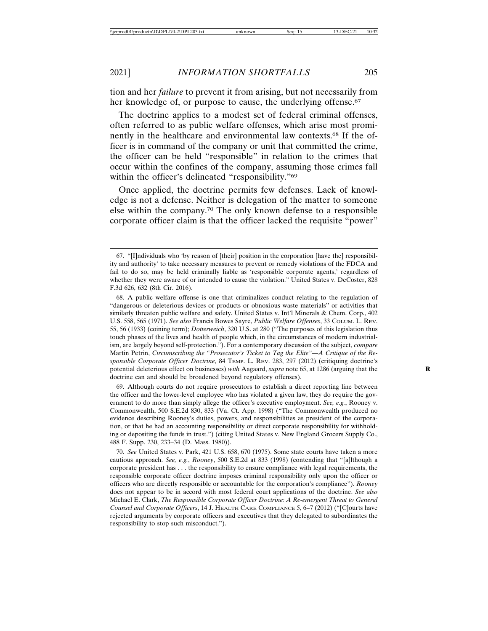tion and her *failure* to prevent it from arising, but not necessarily from her knowledge of, or purpose to cause, the underlying offense.<sup>67</sup>

The doctrine applies to a modest set of federal criminal offenses, often referred to as public welfare offenses, which arise most prominently in the healthcare and environmental law contexts.68 If the officer is in command of the company or unit that committed the crime, the officer can be held "responsible" in relation to the crimes that occur within the confines of the company, assuming those crimes fall within the officer's delineated "responsibility."<sup>69</sup>

Once applied, the doctrine permits few defenses. Lack of knowledge is not a defense. Neither is delegation of the matter to someone else within the company.70 The only known defense to a responsible corporate officer claim is that the officer lacked the requisite "power"

69. Although courts do not require prosecutors to establish a direct reporting line between the officer and the lower-level employee who has violated a given law, they do require the government to do more than simply allege the officer's executive employment. *See, e.g.*, Rooney v. Commonwealth, 500 S.E.2d 830, 833 (Va. Ct. App. 1998) ("The Commonwealth produced no evidence describing Rooney's duties, powers, and responsibilities as president of the corporation, or that he had an accounting responsibility or direct corporate responsibility for withholding or depositing the funds in trust.") (citing United States v. New England Grocers Supply Co., 488 F. Supp. 230, 233–34 (D. Mass. 1980)).

70. *See* United States v. Park, 421 U.S. 658, 670 (1975). Some state courts have taken a more cautious approach. *See, e.g.*, *Rooney*, 500 S.E.2d at 833 (1998) (contending that "[a]lthough a corporate president has . . . the responsibility to ensure compliance with legal requirements, the responsible corporate officer doctrine imposes criminal responsibility only upon the officer or officers who are directly responsible or accountable for the corporation's compliance"). *Rooney* does not appear to be in accord with most federal court applications of the doctrine. *See also* Michael E. Clark, *The Responsible Corporate Officer Doctrine: A Re-emergent Threat to General Counsel and Corporate Officers*, 14 J. HEALTH CARE COMPLIANCE 5, 6–7 (2012) ("[C]ourts have rejected arguments by corporate officers and executives that they delegated to subordinates the responsibility to stop such misconduct.").

<sup>67. &</sup>quot;[I]ndividuals who 'by reason of [their] position in the corporation [have the] responsibility and authority' to take necessary measures to prevent or remedy violations of the FDCA and fail to do so, may be held criminally liable as 'responsible corporate agents,' regardless of whether they were aware of or intended to cause the violation." United States v. DeCoster, 828 F.3d 626, 632 (8th Cir. 2016).

<sup>68.</sup> A public welfare offense is one that criminalizes conduct relating to the regulation of "dangerous or deleterious devices or products or obnoxious waste materials" or activities that similarly threaten public welfare and safety. United States v. Int'l Minerals & Chem. Corp., 402 U.S. 558, 565 (1971). *See also* Francis Bowes Sayre, *Public Welfare Offenses*, 33 COLUM. L. REV. 55, 56 (1933) (coining term); *Dotterweich*, 320 U.S. at 280 ("The purposes of this legislation thus touch phases of the lives and health of people which, in the circumstances of modern industrialism, are largely beyond self-protection."). For a contemporary discussion of the subject, *compare* Martin Petrin, *Circumscribing the "Prosecutor's Ticket to Tag the Elite"—A Critique of the Responsible Corporate Officer Doctrine*, 84 TEMP. L. REV. 283, 297 (2012) (critiquing doctrine's potential deleterious effect on businesses) *with* Aagaard, *supra* note 65, at 1286 (arguing that the doctrine can and should be broadened beyond regulatory offenses).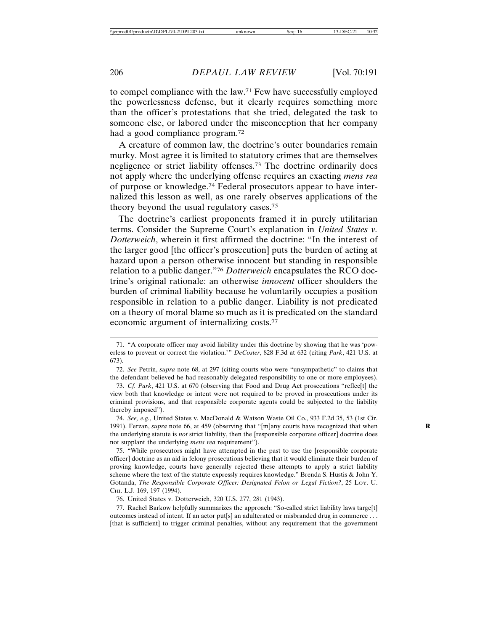to compel compliance with the law.71 Few have successfully employed the powerlessness defense, but it clearly requires something more than the officer's protestations that she tried, delegated the task to someone else, or labored under the misconception that her company had a good compliance program.72

A creature of common law, the doctrine's outer boundaries remain murky. Most agree it is limited to statutory crimes that are themselves negligence or strict liability offenses.73 The doctrine ordinarily does not apply where the underlying offense requires an exacting *mens rea* of purpose or knowledge.74 Federal prosecutors appear to have internalized this lesson as well, as one rarely observes applications of the theory beyond the usual regulatory cases.75

The doctrine's earliest proponents framed it in purely utilitarian terms. Consider the Supreme Court's explanation in *United States v. Dotterweich*, wherein it first affirmed the doctrine: "In the interest of the larger good [the officer's prosecution] puts the burden of acting at hazard upon a person otherwise innocent but standing in responsible relation to a public danger."76 *Dotterweich* encapsulates the RCO doctrine's original rationale: an otherwise *innocent* officer shoulders the burden of criminal liability because he voluntarily occupies a position responsible in relation to a public danger. Liability is not predicated on a theory of moral blame so much as it is predicated on the standard economic argument of internalizing costs.77

<sup>71. &</sup>quot;A corporate officer may avoid liability under this doctrine by showing that he was 'powerless to prevent or correct the violation.'" *DeCoster*, 828 F.3d at 632 (citing *Park*, 421 U.S. at 673).

<sup>72.</sup> *See* Petrin, *supra* note 68, at 297 (citing courts who were "unsympathetic" to claims that the defendant believed he had reasonably delegated responsibility to one or more employees).

<sup>73.</sup> *Cf. Park*, 421 U.S. at 670 (observing that Food and Drug Act prosecutions "reflec[t] the view both that knowledge or intent were not required to be proved in prosecutions under its criminal provisions, and that responsible corporate agents could be subjected to the liability thereby imposed").

<sup>74.</sup> *See, e.g.*, United States v. MacDonald & Watson Waste Oil Co., 933 F.2d 35, 53 (1st Cir. 1991). Ferzan, *supra* note 66, at 459 (observing that "[m]any courts have recognized that when **R** the underlying statute is *not* strict liability, then the [responsible corporate officer] doctrine does not supplant the underlying *mens rea* requirement").

<sup>75. &</sup>quot;While prosecutors might have attempted in the past to use the [responsible corporate officer] doctrine as an aid in felony prosecutions believing that it would eliminate their burden of proving knowledge, courts have generally rejected these attempts to apply a strict liability scheme where the text of the statute expressly requires knowledge." Brenda S. Hustis & John Y. Gotanda, *The Responsible Corporate Officer: Designated Felon or Legal Fiction?*, 25 LOY. U. CHI. L.J. 169, 197 (1994).

<sup>76.</sup> United States v. Dotterweich, 320 U.S. 277, 281 (1943).

<sup>77.</sup> Rachel Barkow helpfully summarizes the approach: "So-called strict liability laws targe[t] outcomes instead of intent. If an actor put[s] an adulterated or misbranded drug in commerce . . . [that is sufficient] to trigger criminal penalties, without any requirement that the government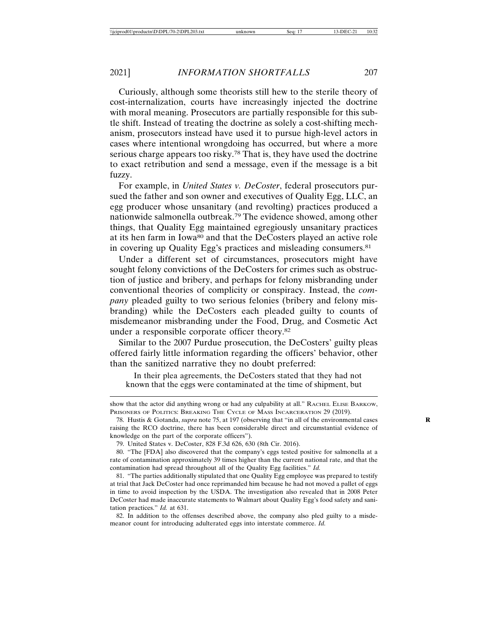Curiously, although some theorists still hew to the sterile theory of cost-internalization, courts have increasingly injected the doctrine with moral meaning. Prosecutors are partially responsible for this subtle shift. Instead of treating the doctrine as solely a cost-shifting mechanism, prosecutors instead have used it to pursue high-level actors in cases where intentional wrongdoing has occurred, but where a more serious charge appears too risky.78 That is, they have used the doctrine to exact retribution and send a message, even if the message is a bit fuzzy.

For example, in *United States v. DeCoster*, federal prosecutors pursued the father and son owner and executives of Quality Egg, LLC, an egg producer whose unsanitary (and revolting) practices produced a nationwide salmonella outbreak.79 The evidence showed, among other things, that Quality Egg maintained egregiously unsanitary practices at its hen farm in Iowa80 and that the DeCosters played an active role in covering up Quality Egg's practices and misleading consumers.81

Under a different set of circumstances, prosecutors might have sought felony convictions of the DeCosters for crimes such as obstruction of justice and bribery, and perhaps for felony misbranding under conventional theories of complicity or conspiracy. Instead, the *company* pleaded guilty to two serious felonies (bribery and felony misbranding) while the DeCosters each pleaded guilty to counts of misdemeanor misbranding under the Food, Drug, and Cosmetic Act under a responsible corporate officer theory.82

Similar to the 2007 Purdue prosecution, the DeCosters' guilty pleas offered fairly little information regarding the officers' behavior, other than the sanitized narrative they no doubt preferred:

In their plea agreements, the DeCosters stated that they had not known that the eggs were contaminated at the time of shipment, but

show that the actor did anything wrong or had any culpability at all." RACHEL ELISE BARKOW, PRISONERS OF POLITICS: BREAKING THE CYCLE OF MASS INCARCERATION 29 (2019).

<sup>78.</sup> Hustis & Gotanda, *supra* note 75, at 197 (observing that "in all of the environmental cases **R** raising the RCO doctrine, there has been considerable direct and circumstantial evidence of knowledge on the part of the corporate officers").

<sup>79.</sup> United States v. DeCoster, 828 F.3d 626, 630 (8th Cir. 2016).

<sup>80. &</sup>quot;The [FDA] also discovered that the company's eggs tested positive for salmonella at a rate of contamination approximately 39 times higher than the current national rate, and that the contamination had spread throughout all of the Quality Egg facilities." *Id.*

<sup>81. &</sup>quot;The parties additionally stipulated that one Quality Egg employee was prepared to testify at trial that Jack DeCoster had once reprimanded him because he had not moved a pallet of eggs in time to avoid inspection by the USDA. The investigation also revealed that in 2008 Peter DeCoster had made inaccurate statements to Walmart about Quality Egg's food safety and sanitation practices." *Id.* at 631.

<sup>82.</sup> In addition to the offenses described above, the company also pled guilty to a misdemeanor count for introducing adulterated eggs into interstate commerce. *Id.*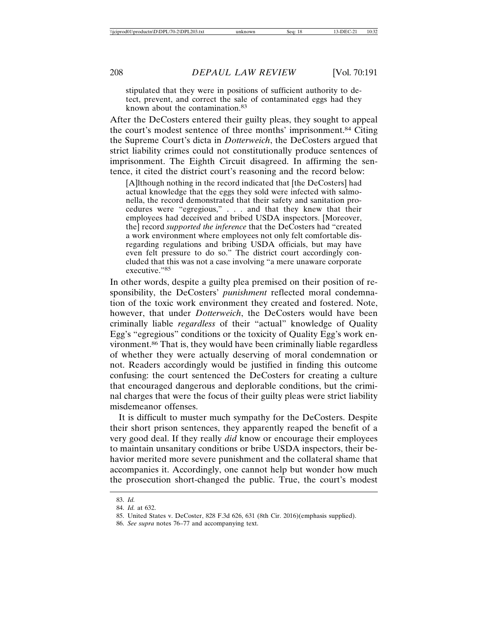stipulated that they were in positions of sufficient authority to detect, prevent, and correct the sale of contaminated eggs had they known about the contamination.83

After the DeCosters entered their guilty pleas, they sought to appeal the court's modest sentence of three months' imprisonment.84 Citing the Supreme Court's dicta in *Dotterweich*, the DeCosters argued that strict liability crimes could not constitutionally produce sentences of imprisonment. The Eighth Circuit disagreed. In affirming the sentence, it cited the district court's reasoning and the record below:

[A]lthough nothing in the record indicated that [the DeCosters] had actual knowledge that the eggs they sold were infected with salmonella, the record demonstrated that their safety and sanitation procedures were "egregious," . . . and that they knew that their employees had deceived and bribed USDA inspectors. [Moreover, the] record *supported the inference* that the DeCosters had "created a work environment where employees not only felt comfortable disregarding regulations and bribing USDA officials, but may have even felt pressure to do so." The district court accordingly concluded that this was not a case involving "a mere unaware corporate executive."<sup>85</sup>

In other words, despite a guilty plea premised on their position of responsibility, the DeCosters' *punishment* reflected moral condemnation of the toxic work environment they created and fostered. Note, however, that under *Dotterweich*, the DeCosters would have been criminally liable *regardless* of their "actual" knowledge of Quality Egg's "egregious" conditions or the toxicity of Quality Egg's work environment.86 That is, they would have been criminally liable regardless of whether they were actually deserving of moral condemnation or not. Readers accordingly would be justified in finding this outcome confusing: the court sentenced the DeCosters for creating a culture that encouraged dangerous and deplorable conditions, but the criminal charges that were the focus of their guilty pleas were strict liability misdemeanor offenses.

It is difficult to muster much sympathy for the DeCosters. Despite their short prison sentences, they apparently reaped the benefit of a very good deal. If they really *did* know or encourage their employees to maintain unsanitary conditions or bribe USDA inspectors, their behavior merited more severe punishment and the collateral shame that accompanies it. Accordingly, one cannot help but wonder how much the prosecution short-changed the public. True, the court's modest

<sup>83.</sup> *Id.*

<sup>84.</sup> *Id.* at 632.

<sup>85.</sup> United States v. DeCoster, 828 F.3d 626, 631 (8th Cir. 2016)(emphasis supplied).

<sup>86.</sup> *See supra* notes 76–77 and accompanying text.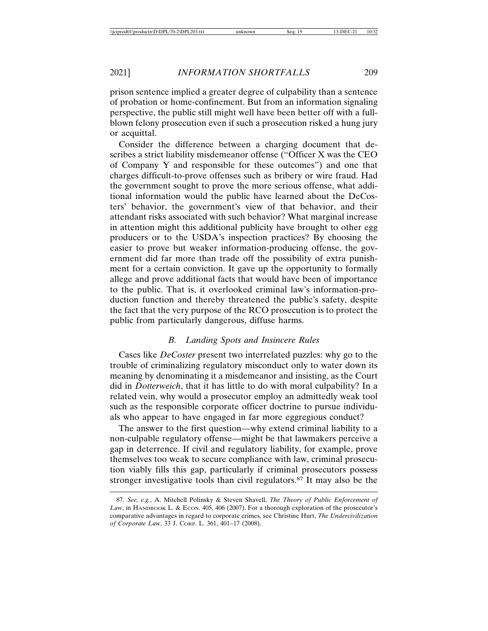prison sentence implied a greater degree of culpability than a sentence of probation or home-confinement. But from an information signaling perspective, the public still might well have been better off with a fullblown felony prosecution even if such a prosecution risked a hung jury or acquittal.

Consider the difference between a charging document that describes a strict liability misdemeanor offense ("Officer X was the CEO of Company Y and responsible for these outcomes") and one that charges difficult-to-prove offenses such as bribery or wire fraud. Had the government sought to prove the more serious offense, what additional information would the public have learned about the DeCosters' behavior, the government's view of that behavior, and their attendant risks associated with such behavior? What marginal increase in attention might this additional publicity have brought to other egg producers or to the USDA's inspection practices? By choosing the easier to prove but weaker information-producing offense, the government did far more than trade off the possibility of extra punishment for a certain conviction. It gave up the opportunity to formally allege and prove additional facts that would have been of importance to the public. That is, it overlooked criminal law's information-production function and thereby threatened the public's safety, despite the fact that the very purpose of the RCO prosecution is to protect the public from particularly dangerous, diffuse harms.

# *B. Landing Spots and Insincere Rules*

Cases like *DeCoster* present two interrelated puzzles: why go to the trouble of criminalizing regulatory misconduct only to water down its meaning by denominating it a misdemeanor and insisting, as the Court did in *Dotterweich*, that it has little to do with moral culpability? In a related vein, why would a prosecutor employ an admittedly weak tool such as the responsible corporate officer doctrine to pursue individuals who appear to have engaged in far more eggregious conduct?

The answer to the first question—why extend criminal liability to a non-culpable regulatory offense—might be that lawmakers perceive a gap in deterrence. If civil and regulatory liability, for example, prove themselves too weak to secure compliance with law, criminal prosecution viably fills this gap, particularly if criminal prosecutors possess stronger investigative tools than civil regulators.87 It may also be the

<sup>87.</sup> *See, e.g.*, A. Mitchell Polinsky & Steven Shavell, *The Theory of Public Enforcement of* Law, in HANDBOOK L. & ECON. 405, 406 (2007). For a thorough exploration of the prosecutor's comparative advantages in regard to corporate crimes, see Christine Hurt, *The Undercivilization of Corporate Law*, 33 J. CORP. L. 361, 401–17 (2008).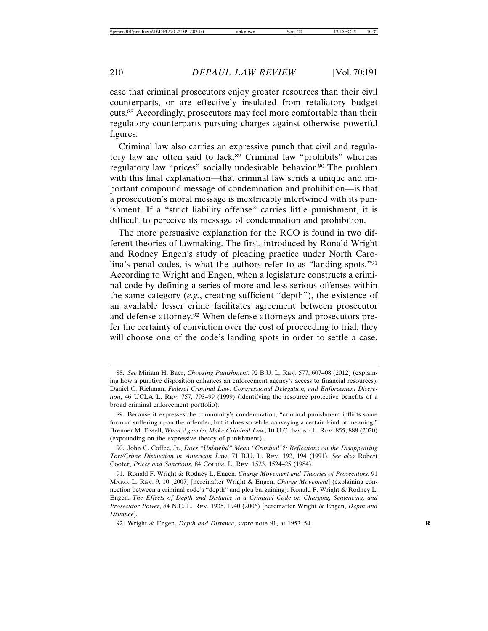case that criminal prosecutors enjoy greater resources than their civil counterparts, or are effectively insulated from retaliatory budget cuts.88 Accordingly, prosecutors may feel more comfortable than their regulatory counterparts pursuing charges against otherwise powerful figures.

Criminal law also carries an expressive punch that civil and regulatory law are often said to lack.89 Criminal law "prohibits" whereas regulatory law "prices" socially undesirable behavior.<sup>90</sup> The problem with this final explanation—that criminal law sends a unique and important compound message of condemnation and prohibition—is that a prosecution's moral message is inextricably intertwined with its punishment. If a "strict liability offense" carries little punishment, it is difficult to perceive its message of condemnation and prohibition.

The more persuasive explanation for the RCO is found in two different theories of lawmaking. The first, introduced by Ronald Wright and Rodney Engen's study of pleading practice under North Carolina's penal codes, is what the authors refer to as "landing spots."91 According to Wright and Engen, when a legislature constructs a criminal code by defining a series of more and less serious offenses within the same category (*e.g.*, creating sufficient "depth"), the existence of an available lesser crime facilitates agreement between prosecutor and defense attorney.92 When defense attorneys and prosecutors prefer the certainty of conviction over the cost of proceeding to trial, they will choose one of the code's landing spots in order to settle a case.

<sup>88.</sup> *See* Miriam H. Baer, *Choosing Punishment*, 92 B.U. L. REV. 577, 607–08 (2012) (explaining how a punitive disposition enhances an enforcement agency's access to financial resources); Daniel C. Richman, *Federal Criminal Law, Congressional Delegation, and Enforcement Discretion*, 46 UCLA L. REV. 757, 793–99 (1999) (identifying the resource protective benefits of a broad criminal enforcement portfolio).

<sup>89.</sup> Because it expresses the community's condemnation, "criminal punishment inflicts some form of suffering upon the offender, but it does so while conveying a certain kind of meaning." Brenner M. Fissell, *When Agencies Make Criminal Law*, 10 U.C. IRVINE L. REV. 855, 888 (2020) (expounding on the expressive theory of punishment).

<sup>90.</sup> John C. Coffee, Jr., *Does "Unlawful" Mean "Criminal"?: Reflections on the Disappearing Tort/Crime Distinction in American Law*, 71 B.U. L. REV. 193, 194 (1991). *See also* Robert Cooter, *Prices and Sanctions*, 84 COLUM. L. REV. 1523, 1524–25 (1984).

<sup>91.</sup> Ronald F. Wright & Rodney L. Engen, *Charge Movement and Theories of Prosecutors*, 91 MARQ. L. REV. 9, 10 (2007) [hereinafter Wright & Engen, *Charge Movement*] (explaining connection between a criminal code's "depth" and plea bargaining); Ronald F. Wright & Rodney L. Engen, *The Effects of Depth and Distance in a Criminal Code on Charging, Sentencing, and Prosecutor Power*, 84 N.C. L. REV. 1935, 1940 (2006) [hereinafter Wright & Engen, *Depth and Distance*].

<sup>92.</sup> Wright & Engen, *Depth and Distance*, *supra* note 91, at 1953–54. **R**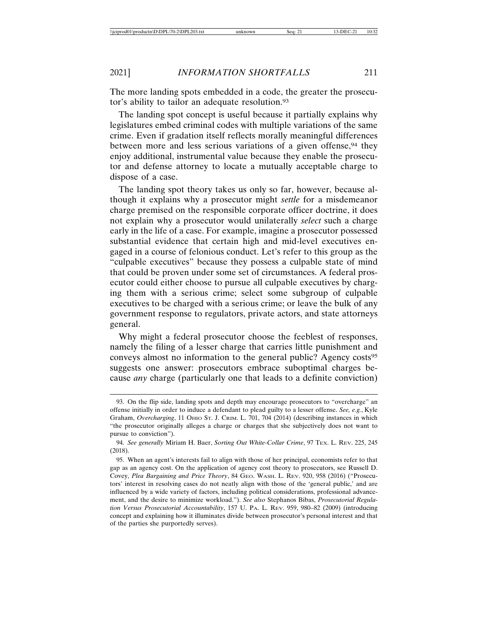The more landing spots embedded in a code, the greater the prosecutor's ability to tailor an adequate resolution.93

The landing spot concept is useful because it partially explains why legislatures embed criminal codes with multiple variations of the same crime. Even if gradation itself reflects morally meaningful differences between more and less serious variations of a given offense,<sup>94</sup> they enjoy additional, instrumental value because they enable the prosecutor and defense attorney to locate a mutually acceptable charge to dispose of a case.

The landing spot theory takes us only so far, however, because although it explains why a prosecutor might *settle* for a misdemeanor charge premised on the responsible corporate officer doctrine, it does not explain why a prosecutor would unilaterally *select* such a charge early in the life of a case. For example, imagine a prosecutor possessed substantial evidence that certain high and mid-level executives engaged in a course of felonious conduct. Let's refer to this group as the "culpable executives" because they possess a culpable state of mind that could be proven under some set of circumstances. A federal prosecutor could either choose to pursue all culpable executives by charging them with a serious crime; select some subgroup of culpable executives to be charged with a serious crime; or leave the bulk of any government response to regulators, private actors, and state attorneys general.

Why might a federal prosecutor choose the feeblest of responses, namely the filing of a lesser charge that carries little punishment and conveys almost no information to the general public? Agency costs<sup>95</sup> suggests one answer: prosecutors embrace suboptimal charges because *any* charge (particularly one that leads to a definite conviction)

<sup>93.</sup> On the flip side, landing spots and depth may encourage prosecutors to "overcharge" an offense initially in order to induce a defendant to plead guilty to a lesser offense. *See, e.g.*, Kyle Graham, *Overcharging*, 11 OHIO ST. J. CRIM. L. 701, 704 (2014) (describing instances in which "the prosecutor originally alleges a charge or charges that she subjectively does not want to pursue to conviction").

<sup>94.</sup> *See generally* Miriam H. Baer, *Sorting Out White-Collar Crime*, 97 TEX. L. REV. 225, 245 (2018).

<sup>95.</sup> When an agent's interests fail to align with those of her principal, economists refer to that gap as an agency cost. On the application of agency cost theory to prosecutors, see Russell D. Covey, *Plea Bargaining and Price Theory*, 84 GEO. WASH. L. REV. 920, 958 (2016) ("Prosecutors' interest in resolving cases do not neatly align with those of the 'general public,' and are influenced by a wide variety of factors, including political considerations, professional advancement, and the desire to minimize workload."). *See also* Stephanos Bibas, *Prosecutorial Regulation Versus Prosecutorial Accountability*, 157 U. PA. L. REV. 959, 980–82 (2009) (introducing concept and explaining how it illuminates divide between prosecutor's personal interest and that of the parties she purportedly serves).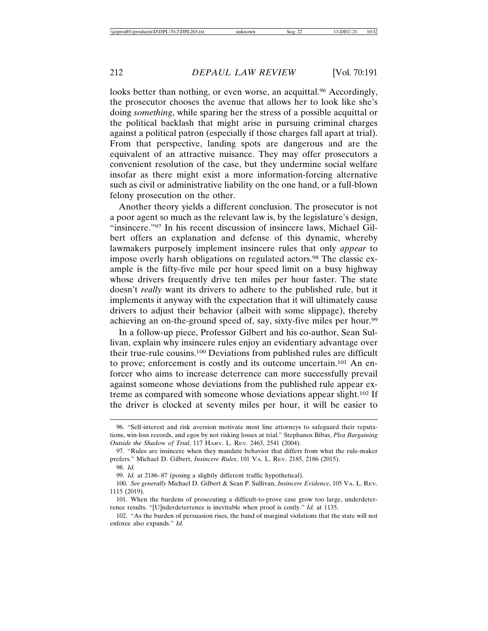looks better than nothing, or even worse, an acquittal.<sup>96</sup> Accordingly, the prosecutor chooses the avenue that allows her to look like she's doing *something*, while sparing her the stress of a possible acquittal or the political backlash that might arise in pursuing criminal charges against a political patron (especially if those charges fall apart at trial). From that perspective, landing spots are dangerous and are the equivalent of an attractive nuisance. They may offer prosecutors a convenient resolution of the case, but they undermine social welfare insofar as there might exist a more information-forcing alternative such as civil or administrative liability on the one hand, or a full-blown felony prosecution on the other.

Another theory yields a different conclusion. The prosecutor is not a poor agent so much as the relevant law is, by the legislature's design, "insincere."97 In his recent discussion of insincere laws, Michael Gilbert offers an explanation and defense of this dynamic, whereby lawmakers purposely implement insincere rules that only *appear* to impose overly harsh obligations on regulated actors.98 The classic example is the fifty-five mile per hour speed limit on a busy highway whose drivers frequently drive ten miles per hour faster. The state doesn't *really* want its drivers to adhere to the published rule, but it implements it anyway with the expectation that it will ultimately cause drivers to adjust their behavior (albeit with some slippage), thereby achieving an on-the-ground speed of, say, sixty-five miles per hour.<sup>99</sup>

In a follow-up piece, Professor Gilbert and his co-author, Sean Sullivan, explain why insincere rules enjoy an evidentiary advantage over their true-rule cousins.100 Deviations from published rules are difficult to prove; enforcement is costly and its outcome uncertain.101 An enforcer who aims to increase deterrence can more successfully prevail against someone whose deviations from the published rule appear extreme as compared with someone whose deviations appear slight.102 If the driver is clocked at seventy miles per hour, it will be easier to

<sup>96. &</sup>quot;Self-interest and risk aversion motivate most line attorneys to safeguard their reputations, win-loss records, and egos by not risking losses at trial." Stephanos Bibas, *Plea Bargaining Outside the Shadow of Trial*, 117 HARV. L. REV. 2463, 2541 (2004).

<sup>97. &</sup>quot;Rules are insincere when they mandate behavior that differs from what the rule-maker prefers." Michael D. Gilbert, *Insincere Rules*, 101 VA. L. REV. 2185, 2186 (2015). 98. *Id.*

<sup>99.</sup> *Id.* at 2186–87 (posing a slightly different traffic hypothetical).

<sup>100.</sup> *See generally* Michael D. Gilbert & Sean P. Sullivan, *Insincere Evidence*, 105 VA. L. REV. 1115 (2019).

<sup>101.</sup> When the burdens of prosecuting a difficult-to-prove case grow too large, underdeterrence results. "[U]nderdeterrence is inevitable when proof is costly." *Id.* at 1135.

<sup>102. &</sup>quot;As the burden of persuasion rises, the band of marginal violations that the state will not enforce also expands." *Id.*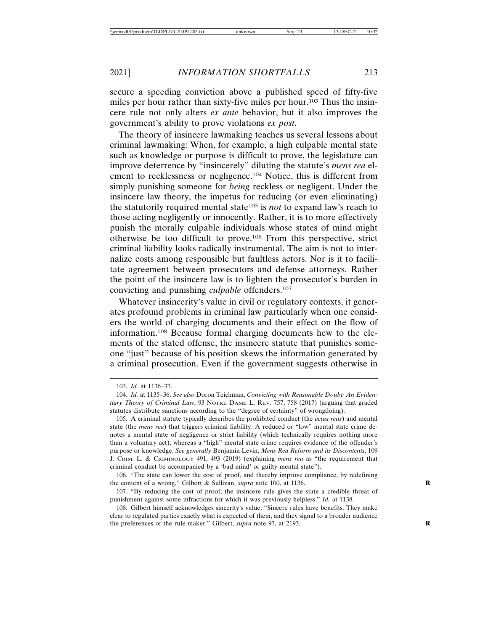secure a speeding conviction above a published speed of fifty-five miles per hour rather than sixty-five miles per hour.103 Thus the insincere rule not only alters *ex ante* behavior, but it also improves the government's ability to prove violations *ex post*.

The theory of insincere lawmaking teaches us several lessons about criminal lawmaking: When, for example, a high culpable mental state such as knowledge or purpose is difficult to prove, the legislature can improve deterrence by "insincerely" diluting the statute's *mens rea* element to recklessness or negligence.104 Notice, this is different from simply punishing someone for *being* reckless or negligent. Under the insincere law theory, the impetus for reducing (or even eliminating) the statutorily required mental state105 is *not* to expand law's reach to those acting negligently or innocently. Rather, it is to more effectively punish the morally culpable individuals whose states of mind might otherwise be too difficult to prove.106 From this perspective, strict criminal liability looks radically instrumental. The aim is not to internalize costs among responsible but faultless actors. Nor is it to facilitate agreement between prosecutors and defense attorneys. Rather the point of the insincere law is to lighten the prosecutor's burden in convicting and punishing *culpable* offenders.107

Whatever insincerity's value in civil or regulatory contexts, it generates profound problems in criminal law particularly when one considers the world of charging documents and their effect on the flow of information.108 Because formal charging documents hew to the elements of the stated offense, the insincere statute that punishes someone "just" because of his position skews the information generated by a criminal prosecution. Even if the government suggests otherwise in

<sup>103.</sup> *Id.* at 1136–37.

<sup>104.</sup> *Id.* at 1135–36. *See also* Doron Teichman, *Convicting with Reasonable Doubt: An Evidentiary Theory of Criminal Law*, 93 NOTRE DAME L. REV. 757, 758 (2017) (arguing that graded statutes distribute sanctions according to the "degree of certainty" of wrongdoing).

<sup>105.</sup> A criminal statute typically describes the prohibited conduct (the *actus reus*) and mental state (the *mens rea*) that triggers criminal liability. A reduced or "low" mental state crime denotes a mental state of negligence or strict liability (which technically requires nothing more than a voluntary act), whereas a "high" mental state crime requires evidence of the offender's purpose or knowledge. *See generally* Benjamin Levin, *Mens Rea Reform and its Discontents*, 109 J. CRIM. L. & CRIMINOLOGY 491, 493 (2019) (explaining *mens rea* as "the requirement that criminal conduct be accompanied by a 'bad mind' or guilty mental state").

<sup>106. &</sup>quot;The state can lower the cost of proof, and thereby improve compliance, by redefining the content of a wrong." Gilbert & Sullivan, *supra* note 100, at 1136. **R**

<sup>107. &</sup>quot;By reducing the cost of proof, the insincere rule gives the state a credible threat of punishment against some infractions for which it was previously helpless." *Id.* at 1138.

<sup>108.</sup> Gilbert himself acknowledges sincerity's value: "Sincere rules have benefits. They make clear to regulated parties exactly what is expected of them, and they signal to a broader audience the preferences of the rule-maker." Gilbert, *supra* note 97, at 2193. **R**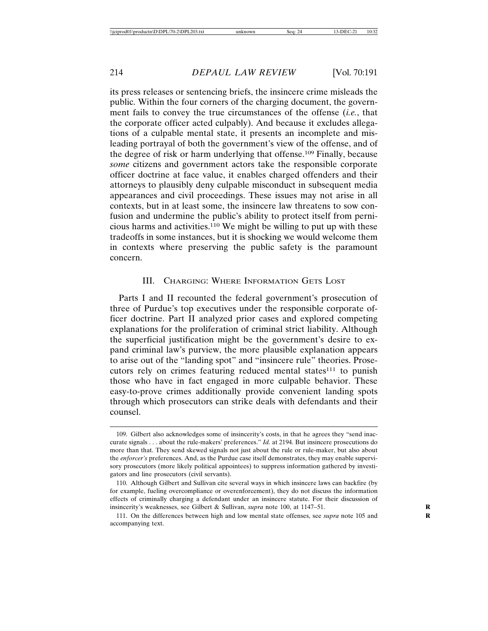its press releases or sentencing briefs, the insincere crime misleads the public. Within the four corners of the charging document, the government fails to convey the true circumstances of the offense (*i.e.*, that the corporate officer acted culpably). And because it excludes allegations of a culpable mental state, it presents an incomplete and misleading portrayal of both the government's view of the offense, and of the degree of risk or harm underlying that offense.109 Finally, because *some* citizens and government actors take the responsible corporate officer doctrine at face value, it enables charged offenders and their attorneys to plausibly deny culpable misconduct in subsequent media appearances and civil proceedings. These issues may not arise in all contexts, but in at least some, the insincere law threatens to sow confusion and undermine the public's ability to protect itself from pernicious harms and activities.110 We might be willing to put up with these tradeoffs in some instances, but it is shocking we would welcome them in contexts where preserving the public safety is the paramount concern.

#### III. CHARGING: WHERE INFORMATION GETS LOST

Parts I and II recounted the federal government's prosecution of three of Purdue's top executives under the responsible corporate officer doctrine. Part II analyzed prior cases and explored competing explanations for the proliferation of criminal strict liability. Although the superficial justification might be the government's desire to expand criminal law's purview, the more plausible explanation appears to arise out of the "landing spot" and "insincere rule" theories. Prosecutors rely on crimes featuring reduced mental states<sup>111</sup> to punish those who have in fact engaged in more culpable behavior. These easy-to-prove crimes additionally provide convenient landing spots through which prosecutors can strike deals with defendants and their counsel.

<sup>109.</sup> Gilbert also acknowledges some of insincerity's costs, in that he agrees they "send inaccurate signals . . . about the rule-makers' preferences." *Id.* at 2194. But insincere prosecutions do more than that. They send skewed signals not just about the rule or rule-maker, but also about the *enforcer's* preferences. And, as the Purdue case itself demonstrates, they may enable supervisory prosecutors (more likely political appointees) to suppress information gathered by investigators and line prosecutors (civil servants).

<sup>110.</sup> Although Gilbert and Sullivan cite several ways in which insincere laws can backfire (by for example, fueling overcompliance or overenforcement), they do not discuss the information effects of criminally charging a defendant under an insincere statute. For their discussion of insincerity's weaknesses, see Gilbert & Sullivan, *supra* note 100, at 1147–51. **R**

<sup>111.</sup> On the differences between high and low mental state offenses, see *supra* note 105 and **R** accompanying text.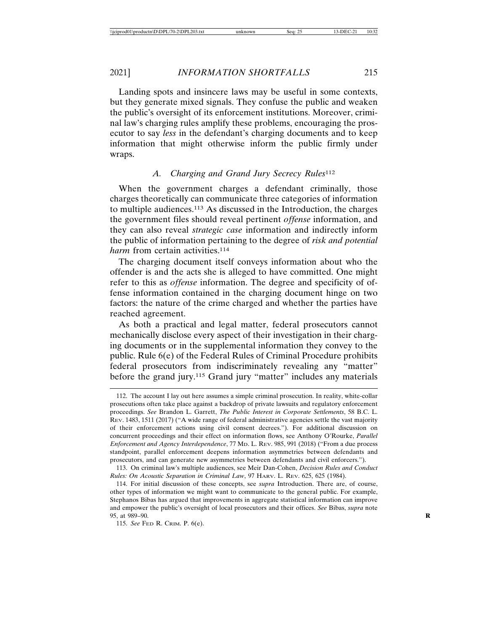Landing spots and insincere laws may be useful in some contexts, but they generate mixed signals. They confuse the public and weaken the public's oversight of its enforcement institutions. Moreover, criminal law's charging rules amplify these problems, encouraging the prosecutor to say *less* in the defendant's charging documents and to keep information that might otherwise inform the public firmly under wraps.

# *A. Charging and Grand Jury Secrecy Rules*<sup>112</sup>

When the government charges a defendant criminally, those charges theoretically can communicate three categories of information to multiple audiences.113 As discussed in the Introduction, the charges the government files should reveal pertinent *offense* information, and they can also reveal *strategic case* information and indirectly inform the public of information pertaining to the degree of *risk and potential harm* from certain activities.<sup>114</sup>

The charging document itself conveys information about who the offender is and the acts she is alleged to have committed. One might refer to this as *offense* information. The degree and specificity of offense information contained in the charging document hinge on two factors: the nature of the crime charged and whether the parties have reached agreement.

As both a practical and legal matter, federal prosecutors cannot mechanically disclose every aspect of their investigation in their charging documents or in the supplemental information they convey to the public. Rule 6(e) of the Federal Rules of Criminal Procedure prohibits federal prosecutors from indiscriminately revealing any "matter" before the grand jury.<sup>115</sup> Grand jury "matter" includes any materials

<sup>112.</sup> The account I lay out here assumes a simple criminal prosecution. In reality, white-collar prosecutions often take place against a backdrop of private lawsuits and regulatory enforcement proceedings. *See* Brandon L. Garrett, *The Public Interest in Corporate Settlements*, 58 B.C. L. REV. 1483, 1511 (2017) ("A wide range of federal administrative agencies settle the vast majority of their enforcement actions using civil consent decrees."). For additional discussion on concurrent proceedings and their effect on information flows, see Anthony O'Rourke, *Parallel Enforcement and Agency Interdependence*, 77 MD. L. REV. 985, 991 (2018) ("From a due process standpoint, parallel enforcement deepens information asymmetries between defendants and prosecutors, and can generate new asymmetries between defendants and civil enforcers.").

<sup>113.</sup> On criminal law's multiple audiences, see Meir Dan-Cohen, *Decision Rules and Conduct Rules: On Acoustic Separation in Criminal Law*, 97 HARV. L. REV. 625, 625 (1984).

<sup>114.</sup> For initial discussion of these concepts, see *supra* Introduction. There are, of course, other types of information we might want to communicate to the general public. For example, Stephanos Bibas has argued that improvements in aggregate statistical information can improve and empower the public's oversight of local prosecutors and their offices. *See* Bibas, *supra* note 95, at 989–90. **R**

<sup>115.</sup> *See* FED R. CRIM. P. 6(e).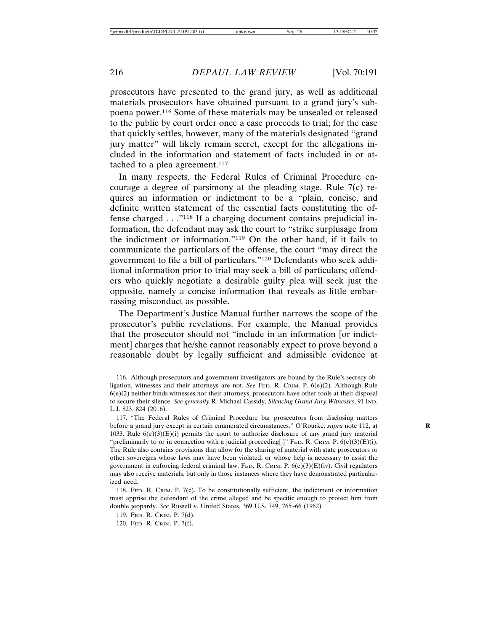prosecutors have presented to the grand jury, as well as additional materials prosecutors have obtained pursuant to a grand jury's subpoena power.116 Some of these materials may be unsealed or released to the public by court order once a case proceeds to trial; for the case that quickly settles, however, many of the materials designated "grand jury matter" will likely remain secret, except for the allegations included in the information and statement of facts included in or attached to a plea agreement.<sup>117</sup>

In many respects, the Federal Rules of Criminal Procedure encourage a degree of parsimony at the pleading stage. Rule 7(c) requires an information or indictment to be a "plain, concise, and definite written statement of the essential facts constituting the offense charged . . ."118 If a charging document contains prejudicial information, the defendant may ask the court to "strike surplusage from the indictment or information."119 On the other hand, if it fails to communicate the particulars of the offense, the court "may direct the government to file a bill of particulars."120 Defendants who seek additional information prior to trial may seek a bill of particulars; offenders who quickly negotiate a desirable guilty plea will seek just the opposite, namely a concise information that reveals as little embarrassing misconduct as possible.

The Department's Justice Manual further narrows the scope of the prosecutor's public revelations. For example, the Manual provides that the prosecutor should not "include in an information [or indictment] charges that he/she cannot reasonably expect to prove beyond a reasonable doubt by legally sufficient and admissible evidence at

<sup>116.</sup> Although prosecutors and government investigators are bound by the Rule's secrecy obligation, witnesses and their attorneys are not. *See* FED. R. CRIM. P. 6(e)(2). Although Rule 6(e)(2) neither binds witnesses nor their attorneys, prosecutors have other tools at their disposal to secure their silence. *See generally* R. Michael Cassidy, *Silencing Grand Jury Witnesses*, 91 IND. L.J. 823, 824 (2016).

<sup>117. &</sup>quot;The Federal Rules of Criminal Procedure bar prosecutors from disclosing matters before a grand jury except in certain enumerated circumstances." O'Rourke, *supra* note 112, at 1033. Rule 6(e)(3)(E)(i) permits the court to authorize disclosure of any grand jury material "preliminarily to or in connection with a judicial proceeding[.]" FED. R. CRIM. P.  $6(e)(3)(E)(i)$ . The Rule also contains provisions that allow for the sharing of material with state prosecutors or other sovereigns whose laws may have been violated, or whose help is necessary to assist the government in enforcing federal criminal law. FED. R. CRIM. P.  $6(e)(3)(E)(iv)$ . Civil regulators may also receive materials, but only in those instances where they have demonstrated particularized need.

<sup>118.</sup> FED. R. CRIM. P.  $7(c)$ . To be constitutionally sufficient, the indictment or information must apprise the defendant of the crime alleged and be specific enough to protect him from double jeopardy. *See* Russell v. United States, 369 U.S. 749, 765–66 (1962).

<sup>119.</sup> FED. R. CRIM. P. 7(d).

<sup>120.</sup> FED. R. CRIM. P. 7(f).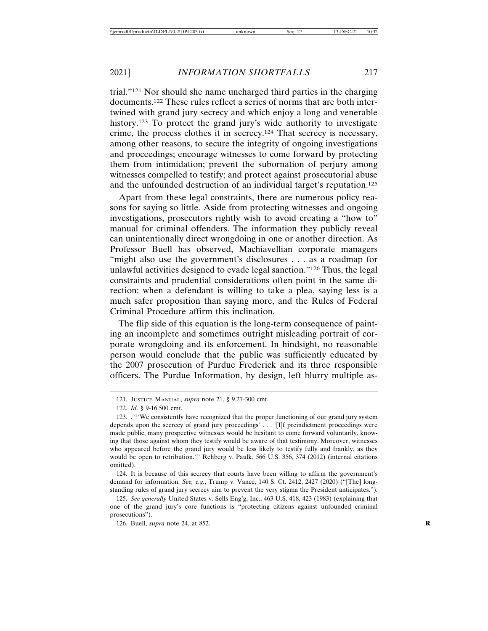trial."121 Nor should she name uncharged third parties in the charging documents.122 These rules reflect a series of norms that are both intertwined with grand jury secrecy and which enjoy a long and venerable history.123 To protect the grand jury's wide authority to investigate crime, the process clothes it in secrecy.124 That secrecy is necessary, among other reasons, to secure the integrity of ongoing investigations and proceedings; encourage witnesses to come forward by protecting them from intimidation; prevent the subornation of perjury among witnesses compelled to testify; and protect against prosecutorial abuse and the unfounded destruction of an individual target's reputation.125

Apart from these legal constraints, there are numerous policy reasons for saying so little. Aside from protecting witnesses and ongoing investigations, prosecutors rightly wish to avoid creating a "how to" manual for criminal offenders. The information they publicly reveal can unintentionally direct wrongdoing in one or another direction. As Professor Buell has observed, Machiavellian corporate managers "might also use the government's disclosures . . . as a roadmap for unlawful activities designed to evade legal sanction."126 Thus, the legal constraints and prudential considerations often point in the same direction: when a defendant is willing to take a plea, saying less is a much safer proposition than saying more, and the Rules of Federal Criminal Procedure affirm this inclination.

The flip side of this equation is the long-term consequence of painting an incomplete and sometimes outright misleading portrait of corporate wrongdoing and its enforcement. In hindsight, no reasonable person would conclude that the public was sufficiently educated by the 2007 prosecution of Purdue Frederick and its three responsible officers. The Purdue Information, by design, left blurry multiple as-

124. It is because of this secrecy that courts have been willing to affirm the government's demand for information. *See, e.g.*, Trump v. Vance, 140 S. Ct. 2412, 2427 (2020) ("[The] longstanding rules of grand jury secrecy aim to prevent the very stigma the President anticipates.").

125. *See generally* United States v. Sells Eng'g, Inc., 463 U.S. 418, 423 (1983) (explaining that one of the grand jury's core functions is "protecting citizens against unfounded criminal prosecutions").

126. Buell, *supra* note 24, at 852. **R**

<sup>121.</sup> JUSTICE MANUAL, *supra* note 21, § 9.27-300 cmt.

<sup>122.</sup> *Id.* § 9-16.500 cmt.

<sup>123. . &</sup>quot;'We consistently have recognized that the proper functioning of our grand jury system depends upon the secrecy of grand jury proceedings' . . . '[I]f preindictment proceedings were made public, many prospective witnesses would be hesitant to come forward voluntarily, knowing that those against whom they testify would be aware of that testimony. Moreover, witnesses who appeared before the grand jury would be less likely to testify fully and frankly, as they would be open to retribution.'" Rehberg v. Paulk, 566 U.S. 356, 374 (2012) (internal citations omitted).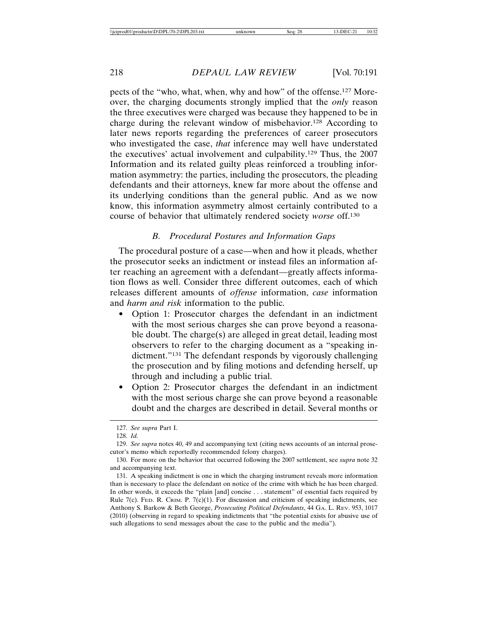pects of the "who, what, when, why and how" of the offense.127 Moreover, the charging documents strongly implied that the *only* reason the three executives were charged was because they happened to be in charge during the relevant window of misbehavior.128 According to later news reports regarding the preferences of career prosecutors who investigated the case, *that* inference may well have understated the executives' actual involvement and culpability.129 Thus, the 2007 Information and its related guilty pleas reinforced a troubling information asymmetry: the parties, including the prosecutors, the pleading defendants and their attorneys, knew far more about the offense and its underlying conditions than the general public. And as we now know, this information asymmetry almost certainly contributed to a course of behavior that ultimately rendered society *worse* off.130

#### *B. Procedural Postures and Information Gaps*

The procedural posture of a case—when and how it pleads, whether the prosecutor seeks an indictment or instead files an information after reaching an agreement with a defendant—greatly affects information flows as well. Consider three different outcomes, each of which releases different amounts of *offense* information, *case* information and *harm and risk* information to the public.

- Option 1: Prosecutor charges the defendant in an indictment with the most serious charges she can prove beyond a reasonable doubt. The charge(s) are alleged in great detail, leading most observers to refer to the charging document as a "speaking indictment."131 The defendant responds by vigorously challenging the prosecution and by filing motions and defending herself, up through and including a public trial.
- Option 2: Prosecutor charges the defendant in an indictment with the most serious charge she can prove beyond a reasonable doubt and the charges are described in detail. Several months or

<sup>127.</sup> *See supra* Part I.

<sup>128.</sup> *Id.*

<sup>129.</sup> *See supra* notes 40, 49 and accompanying text (citing news accounts of an internal prosecutor's memo which reportedly recommended felony charges).

<sup>130.</sup> For more on the behavior that occurred following the 2007 settlement, see *supra* note 32 and accompanying text.

<sup>131.</sup> A speaking indictment is one in which the charging instrument reveals more information than is necessary to place the defendant on notice of the crime with which he has been charged. In other words, it exceeds the "plain [and] concise . . . statement" of essential facts required by Rule 7(c). FED. R. CRIM. P. 7(c)(1). For discussion and criticism of speaking indictments, see Anthony S. Barkow & Beth George, *Prosecuting Political Defendants*, 44 GA. L. REV. 953, 1017 (2010) (observing in regard to speaking indictments that "the potential exists for abusive use of such allegations to send messages about the case to the public and the media").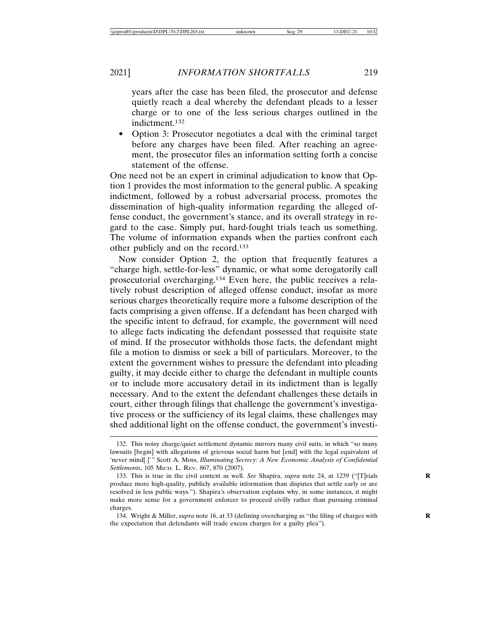years after the case has been filed, the prosecutor and defense quietly reach a deal whereby the defendant pleads to a lesser charge or to one of the less serious charges outlined in the indictment.132

• Option 3: Prosecutor negotiates a deal with the criminal target before any charges have been filed. After reaching an agreement, the prosecutor files an information setting forth a concise statement of the offense.

One need not be an expert in criminal adjudication to know that Option 1 provides the most information to the general public. A speaking indictment, followed by a robust adversarial process, promotes the dissemination of high-quality information regarding the alleged offense conduct, the government's stance, and its overall strategy in regard to the case. Simply put, hard-fought trials teach us something. The volume of information expands when the parties confront each other publicly and on the record.133

Now consider Option 2, the option that frequently features a "charge high, settle-for-less" dynamic, or what some derogatorily call prosecutorial overcharging.134 Even here, the public receives a relatively robust description of alleged offense conduct, insofar as more serious charges theoretically require more a fulsome description of the facts comprising a given offense. If a defendant has been charged with the specific intent to defraud, for example, the government will need to allege facts indicating the defendant possessed that requisite state of mind. If the prosecutor withholds those facts, the defendant might file a motion to dismiss or seek a bill of particulars. Moreover, to the extent the government wishes to pressure the defendant into pleading guilty, it may decide either to charge the defendant in multiple counts or to include more accusatory detail in its indictment than is legally necessary. And to the extent the defendant challenges these details in court, either through filings that challenge the government's investigative process or the sufficiency of its legal claims, these challenges may shed additional light on the offense conduct, the government's investi-

<sup>132.</sup> This noisy charge/quiet settlement dynamic mirrors many civil suits, in which "so many lawsuits [begin] with allegations of grievous social harm but [end] with the legal equivalent of 'never mind[.]'" Scott A. Moss, *Illuminating Secrecy: A New Economic Analysis of Confidential Settlements*, 105 MICH. L. REV. 867, 870 (2007).

<sup>133.</sup> This is true in the civil context as well. *See* Shapira, *supra* note 24, at 1239 ("[T]rials produce more high-quality, publicly available information than disputes that settle early or are resolved in less public ways."). Shapira's observation explains why, in some instances, it might make more sense for a government enforcer to proceed civilly rather than pursuing criminal charges.

<sup>134.</sup> Wright & Miller, *supra* note 16, at 33 (defining overcharging as "the filing of charges with **R** the expectation that defendants will trade excess charges for a guilty plea").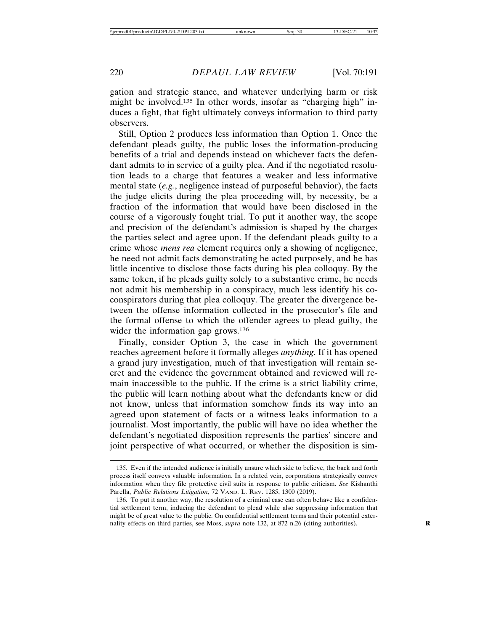gation and strategic stance, and whatever underlying harm or risk might be involved.135 In other words, insofar as "charging high" induces a fight, that fight ultimately conveys information to third party observers.

Still, Option 2 produces less information than Option 1. Once the defendant pleads guilty, the public loses the information-producing benefits of a trial and depends instead on whichever facts the defendant admits to in service of a guilty plea. And if the negotiated resolution leads to a charge that features a weaker and less informative mental state (*e.g.*, negligence instead of purposeful behavior), the facts the judge elicits during the plea proceeding will, by necessity, be a fraction of the information that would have been disclosed in the course of a vigorously fought trial. To put it another way, the scope and precision of the defendant's admission is shaped by the charges the parties select and agree upon. If the defendant pleads guilty to a crime whose *mens rea* element requires only a showing of negligence, he need not admit facts demonstrating he acted purposely, and he has little incentive to disclose those facts during his plea colloquy. By the same token, if he pleads guilty solely to a substantive crime, he needs not admit his membership in a conspiracy, much less identify his coconspirators during that plea colloquy. The greater the divergence between the offense information collected in the prosecutor's file and the formal offense to which the offender agrees to plead guilty, the wider the information gap grows.<sup>136</sup>

Finally, consider Option 3, the case in which the government reaches agreement before it formally alleges *anything*. If it has opened a grand jury investigation, much of that investigation will remain secret and the evidence the government obtained and reviewed will remain inaccessible to the public. If the crime is a strict liability crime, the public will learn nothing about what the defendants knew or did not know, unless that information somehow finds its way into an agreed upon statement of facts or a witness leaks information to a journalist. Most importantly, the public will have no idea whether the defendant's negotiated disposition represents the parties' sincere and joint perspective of what occurred, or whether the disposition is sim-

<sup>135.</sup> Even if the intended audience is initially unsure which side to believe, the back and forth process itself conveys valuable information. In a related vein, corporations strategically convey information when they file protective civil suits in response to public criticism. *See* Kishanthi Parella, *Public Relations Litigation*, 72 VAND. L. REV. 1285, 1300 (2019).

<sup>136.</sup> To put it another way, the resolution of a criminal case can often behave like a confidential settlement term, inducing the defendant to plead while also suppressing information that might be of great value to the public. On confidential settlement terms and their potential externality effects on third parties, see Moss, *supra* note 132, at 872 n.26 (citing authorities).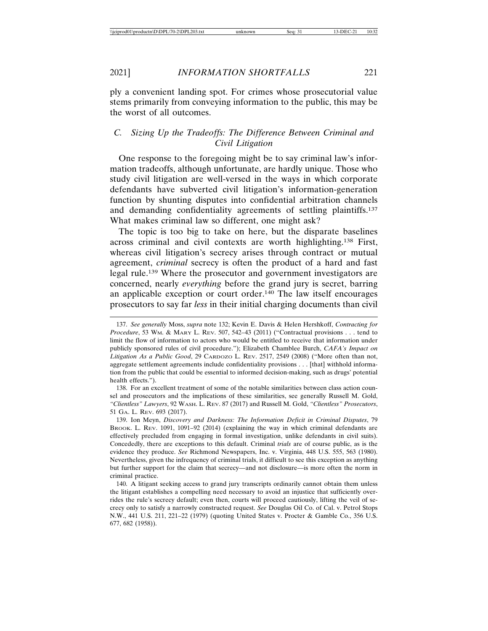ply a convenient landing spot. For crimes whose prosecutorial value stems primarily from conveying information to the public, this may be the worst of all outcomes.

## *C. Sizing Up the Tradeoffs: The Difference Between Criminal and Civil Litigation*

One response to the foregoing might be to say criminal law's information tradeoffs, although unfortunate, are hardly unique. Those who study civil litigation are well-versed in the ways in which corporate defendants have subverted civil litigation's information-generation function by shunting disputes into confidential arbitration channels and demanding confidentiality agreements of settling plaintiffs.137 What makes criminal law so different, one might ask?

The topic is too big to take on here, but the disparate baselines across criminal and civil contexts are worth highlighting.138 First, whereas civil litigation's secrecy arises through contract or mutual agreement, *criminal* secrecy is often the product of a hard and fast legal rule.139 Where the prosecutor and government investigators are concerned, nearly *everything* before the grand jury is secret, barring an applicable exception or court order.140 The law itself encourages prosecutors to say far *less* in their initial charging documents than civil

138. For an excellent treatment of some of the notable similarities between class action counsel and prosecutors and the implications of these similarities, see generally Russell M. Gold, *"Clientless" Lawyers*, 92 WASH. L. REV. 87 (2017) and Russell M. Gold, *"Clientless" Prosecutors*, 51 GA. L. REV. 693 (2017).

139. Ion Meyn, *Discovery and Darkness: The Information Deficit in Criminal Disputes*, 79 BROOK. L. REV. 1091, 1091-92 (2014) (explaining the way in which criminal defendants are effectively precluded from engaging in formal investigation, unlike defendants in civil suits). Concededly, there are exceptions to this default. Criminal *trials* are of course public, as is the evidence they produce. *See* Richmond Newspapers, Inc. v. Virginia, 448 U.S. 555, 563 (1980). Nevertheless, given the infrequency of criminal trials, it difficult to see this exception as anything but further support for the claim that secrecy—and not disclosure—is more often the norm in criminal practice.

140. A litigant seeking access to grand jury transcripts ordinarily cannot obtain them unless the litigant establishes a compelling need necessary to avoid an injustice that sufficiently overrides the rule's secrecy default; even then, courts will proceed cautiously, lifting the veil of secrecy only to satisfy a narrowly constructed request. *See* Douglas Oil Co. of Cal. v. Petrol Stops N.W., 441 U.S. 211, 221–22 (1979) (quoting United States v. Procter & Gamble Co., 356 U.S. 677, 682 (1958)).

<sup>137.</sup> *See generally* Moss, *supra* note 132; Kevin E. Davis & Helen Hershkoff, *Contracting for Procedure*, 53 WM. & MARY L. REV. 507, 542–43 (2011) ("Contractual provisions . . . tend to limit the flow of information to actors who would be entitled to receive that information under publicly sponsored rules of civil procedure."); Elizabeth Chamblee Burch, *CAFA's Impact on Litigation As a Public Good*, 29 CARDOZO L. REV. 2517, 2549 (2008) ("More often than not, aggregate settlement agreements include confidentiality provisions . . . [that] withhold information from the public that could be essential to informed decision-making, such as drugs' potential health effects.").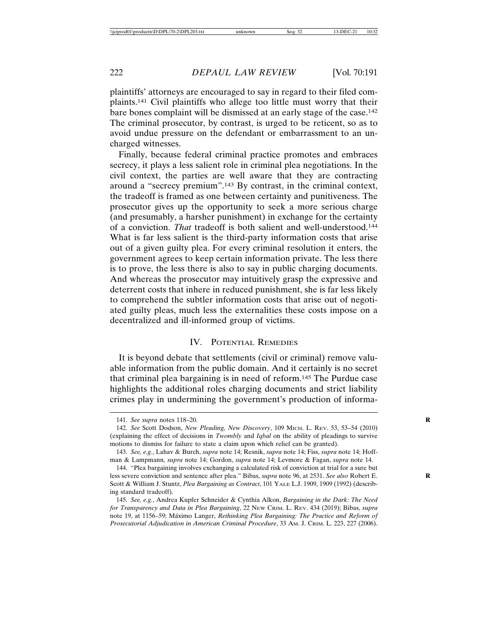plaintiffs' attorneys are encouraged to say in regard to their filed complaints.141 Civil plaintiffs who allege too little must worry that their bare bones complaint will be dismissed at an early stage of the case.142 The criminal prosecutor, by contrast, is urged to be reticent, so as to avoid undue pressure on the defendant or embarrassment to an uncharged witnesses.

Finally, because federal criminal practice promotes and embraces secrecy, it plays a less salient role in criminal plea negotiations. In the civil context, the parties are well aware that they are contracting around a "secrecy premium".143 By contrast, in the criminal context, the tradeoff is framed as one between certainty and punitiveness. The prosecutor gives up the opportunity to seek a more serious charge (and presumably, a harsher punishment) in exchange for the certainty of a conviction. *That* tradeoff is both salient and well-understood.144 What is far less salient is the third-party information costs that arise out of a given guilty plea. For every criminal resolution it enters, the government agrees to keep certain information private. The less there is to prove, the less there is also to say in public charging documents. And whereas the prosecutor may intuitively grasp the expressive and deterrent costs that inhere in reduced punishment, she is far less likely to comprehend the subtler information costs that arise out of negotiated guilty pleas, much less the externalities these costs impose on a decentralized and ill-informed group of victims.

#### IV. POTENTIAL REMEDIES

It is beyond debate that settlements (civil or criminal) remove valuable information from the public domain. And it certainly is no secret that criminal plea bargaining is in need of reform.145 The Purdue case highlights the additional roles charging documents and strict liability crimes play in undermining the government's production of informa-

<sup>141.</sup> *See supra* notes 118–20. **R**

<sup>142.</sup> *See* Scott Dodson, *New Pleading, New Discovery*, 109 MICH. L. REV. 53, 53–54 (2010) (explaining the effect of decisions in *Twombly* and *Iqbal* on the ability of pleadings to survive motions to dismiss for failure to state a claim upon which relief can be granted).

<sup>143.</sup> *See, e.g.*, Lahav & Burch, *supra* note 14; Resnik, *supra* note 14; Fiss, *supra* note 14; Hoffman & Lampmann, *supra* note 14; Gordon, *supra* note 14; Levmore & Fagan, *supra* note 14.

<sup>144. &</sup>quot;Plea bargaining involves exchanging a calculated risk of conviction at trial for a sure but less severe conviction and sentence after plea." Bibas, *supra* note 96, at 2531. *See also* Robert E. Scott & William J. Stuntz, *Plea Bargaining as Contract*, 101 YALE L.J. 1909, 1909 (1992) (describing standard tradeoff).

<sup>145.</sup> *See, e.g.*, Andrea Kupfer Schneider & Cynthia Alkon, *Bargaining in the Dark: The Need for Transparency and Data in Plea Bargaining*, 22 NEW CRIM. L. REV. 434 (2019); Bibas, *supra* note 19, at 1156-59; Máximo Langer, *Rethinking Plea Bargaining: The Practice and Reform of Prosecutorial Adjudication in American Criminal Procedure*, 33 AM. J. CRIM. L. 223, 227 (2006).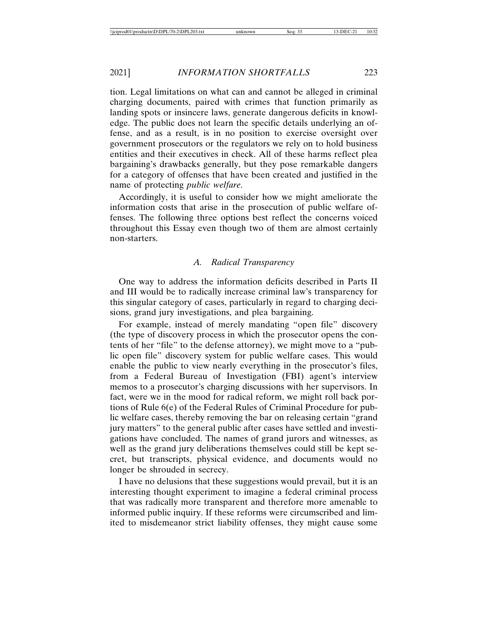tion. Legal limitations on what can and cannot be alleged in criminal charging documents, paired with crimes that function primarily as landing spots or insincere laws, generate dangerous deficits in knowledge. The public does not learn the specific details underlying an offense, and as a result, is in no position to exercise oversight over government prosecutors or the regulators we rely on to hold business entities and their executives in check. All of these harms reflect plea bargaining's drawbacks generally, but they pose remarkable dangers for a category of offenses that have been created and justified in the name of protecting *public welfare*.

Accordingly, it is useful to consider how we might ameliorate the information costs that arise in the prosecution of public welfare offenses. The following three options best reflect the concerns voiced throughout this Essay even though two of them are almost certainly non-starters.

#### *A. Radical Transparency*

One way to address the information deficits described in Parts II and III would be to radically increase criminal law's transparency for this singular category of cases, particularly in regard to charging decisions, grand jury investigations, and plea bargaining.

For example, instead of merely mandating "open file" discovery (the type of discovery process in which the prosecutor opens the contents of her "file" to the defense attorney), we might move to a "public open file" discovery system for public welfare cases. This would enable the public to view nearly everything in the prosecutor's files, from a Federal Bureau of Investigation (FBI) agent's interview memos to a prosecutor's charging discussions with her supervisors. In fact, were we in the mood for radical reform, we might roll back portions of Rule 6(e) of the Federal Rules of Criminal Procedure for public welfare cases, thereby removing the bar on releasing certain "grand jury matters" to the general public after cases have settled and investigations have concluded. The names of grand jurors and witnesses, as well as the grand jury deliberations themselves could still be kept secret, but transcripts, physical evidence, and documents would no longer be shrouded in secrecy.

I have no delusions that these suggestions would prevail, but it is an interesting thought experiment to imagine a federal criminal process that was radically more transparent and therefore more amenable to informed public inquiry. If these reforms were circumscribed and limited to misdemeanor strict liability offenses, they might cause some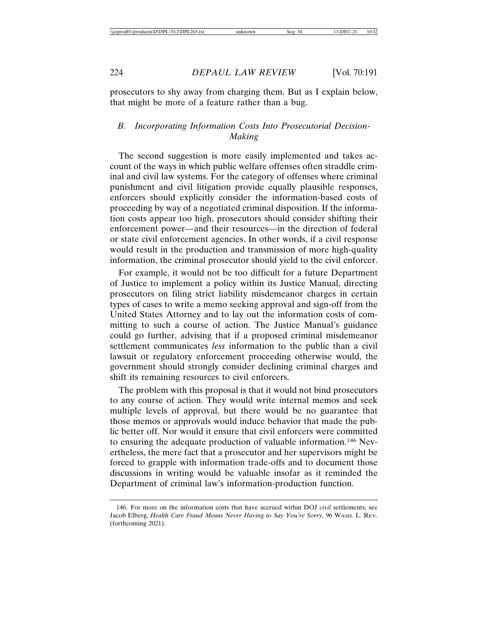prosecutors to shy away from charging them. But as I explain below, that might be more of a feature rather than a bug.

# *B. Incorporating Information Costs Into Prosecutorial Decision-Making*

The second suggestion is more easily implemented and takes account of the ways in which public welfare offenses often straddle criminal and civil law systems. For the category of offenses where criminal punishment and civil litigation provide equally plausible responses, enforcers should explicitly consider the information-based costs of proceeding by way of a negotiated criminal disposition. If the information costs appear too high, prosecutors should consider shifting their enforcement power—and their resources—in the direction of federal or state civil enforcement agencies. In other words, if a civil response would result in the production and transmission of more high-quality information, the criminal prosecutor should yield to the civil enforcer.

For example, it would not be too difficult for a future Department of Justice to implement a policy within its Justice Manual, directing prosecutors on filing strict liability misdemeanor charges in certain types of cases to write a memo seeking approval and sign-off from the United States Attorney and to lay out the information costs of committing to such a course of action. The Justice Manual's guidance could go further, advising that if a proposed criminal misdemeanor settlement communicates *less* information to the public than a civil lawsuit or regulatory enforcement proceeding otherwise would, the government should strongly consider declining criminal charges and shift its remaining resources to civil enforcers.

The problem with this proposal is that it would not bind prosecutors to any course of action. They would write internal memos and seek multiple levels of approval, but there would be no guarantee that those memos or approvals would induce behavior that made the public better off. Nor would it ensure that civil enforcers were committed to ensuring the adequate production of valuable information.146 Nevertheless, the mere fact that a prosecutor and her supervisors might be forced to grapple with information trade-offs and to document those discussions in writing would be valuable insofar as it reminded the Department of criminal law's information-production function.

<sup>146.</sup> For more on the information costs that have accrued within DOJ *civil* settlements, see Jacob Elberg, *Health Care Fraud Means Never Having to Say You're Sorry*, 96 WASH. L. REV. (forthcoming 2021).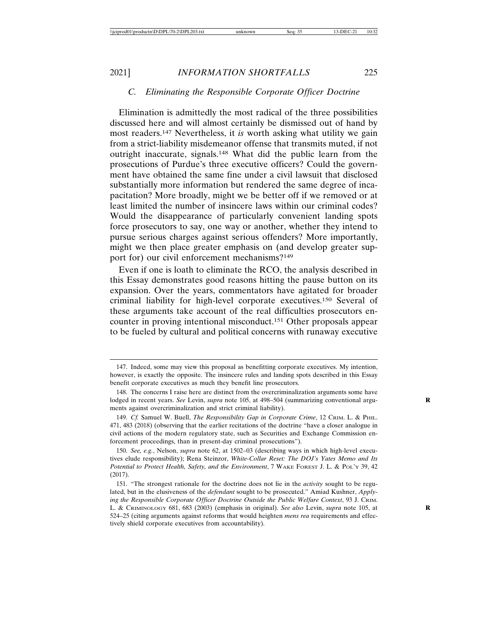#### *C. Eliminating the Responsible Corporate Officer Doctrine*

Elimination is admittedly the most radical of the three possibilities discussed here and will almost certainly be dismissed out of hand by most readers.147 Nevertheless, it *is* worth asking what utility we gain from a strict-liability misdemeanor offense that transmits muted, if not outright inaccurate, signals.148 What did the public learn from the prosecutions of Purdue's three executive officers? Could the government have obtained the same fine under a civil lawsuit that disclosed substantially more information but rendered the same degree of incapacitation? More broadly, might we be better off if we removed or at least limited the number of insincere laws within our criminal codes? Would the disappearance of particularly convenient landing spots force prosecutors to say, one way or another, whether they intend to pursue serious charges against serious offenders? More importantly, might we then place greater emphasis on (and develop greater support for) our civil enforcement mechanisms?149

Even if one is loath to eliminate the RCO, the analysis described in this Essay demonstrates good reasons hitting the pause button on its expansion. Over the years, commentators have agitated for broader criminal liability for high-level corporate executives.150 Several of these arguments take account of the real difficulties prosecutors encounter in proving intentional misconduct.151 Other proposals appear to be fueled by cultural and political concerns with runaway executive

<sup>147.</sup> Indeed, some may view this proposal as benefitting corporate executives. My intention, however, is exactly the opposite. The insincere rules and landing spots described in this Essay benefit corporate executives as much they benefit line prosecutors.

<sup>148.</sup> The concerns I raise here are distinct from the overcriminalization arguments some have lodged in recent years. See Levin, *supra* note 105, at 498–504 (summarizing conventional arguments against overcriminalization and strict criminal liability).

<sup>149.</sup> *Cf.* Samuel W. Buell, *The Responsibility Gap in Corporate Crime*, 12 CRIM. L. & PHIL. 471, 483 (2018) (observing that the earlier recitations of the doctrine "have a closer analogue in civil actions of the modern regulatory state, such as Securities and Exchange Commission enforcement proceedings, than in present-day criminal prosecutions").

<sup>150.</sup> *See, e.g.*, Nelson, *supra* note 62, at 1502–03 (describing ways in which high-level executives elude responsibility); Rena Steinzor, *White-Collar Reset: The DOJ's Yates Memo and Its Potential to Protect Health, Safety, and the Environment*, 7 WAKE FOREST J. L. & POL'Y 39, 42 (2017).

<sup>151. &</sup>quot;The strongest rationale for the doctrine does not lie in the *activity* sought to be regulated, but in the elusiveness of the *defendant* sought to be prosecuted." Amiad Kushner, *Applying the Responsible Corporate Officer Doctrine Outside the Public Welfare Context*, 93 J. CRIM. L. & CRIMINOLOGY 681, 683 (2003) (emphasis in original). *See also* Levin, *supra* note 105, at **R** 524–25 (citing arguments against reforms that would heighten *mens rea* requirements and effectively shield corporate executives from accountability).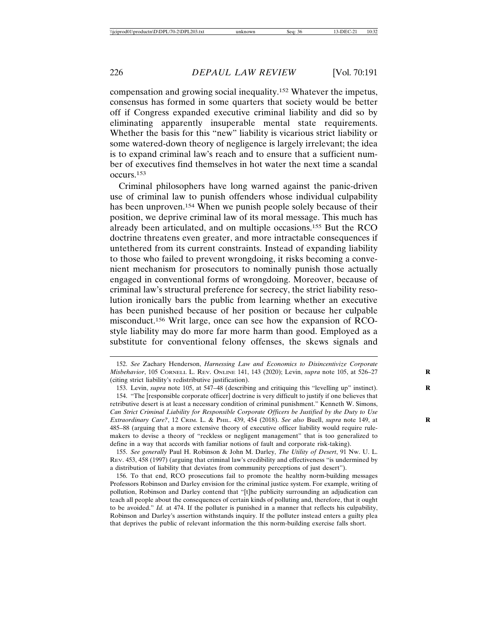compensation and growing social inequality.152 Whatever the impetus, consensus has formed in some quarters that society would be better off if Congress expanded executive criminal liability and did so by eliminating apparently insuperable mental state requirements. Whether the basis for this "new" liability is vicarious strict liability or some watered-down theory of negligence is largely irrelevant; the idea is to expand criminal law's reach and to ensure that a sufficient number of executives find themselves in hot water the next time a scandal occurs.153

Criminal philosophers have long warned against the panic-driven use of criminal law to punish offenders whose individual culpability has been unproven.<sup>154</sup> When we punish people solely because of their position, we deprive criminal law of its moral message. This much has already been articulated, and on multiple occasions.155 But the RCO doctrine threatens even greater, and more intractable consequences if untethered from its current constraints. Instead of expanding liability to those who failed to prevent wrongdoing, it risks becoming a convenient mechanism for prosecutors to nominally punish those actually engaged in conventional forms of wrongdoing. Moreover, because of criminal law's structural preference for secrecy, the strict liability resolution ironically bars the public from learning whether an executive has been punished because of her position or because her culpable misconduct.156 Writ large, once can see how the expansion of RCOstyle liability may do more far more harm than good. Employed as a substitute for conventional felony offenses, the skews signals and

<sup>152.</sup> *See* Zachary Henderson, *Harnessing Law and Economics to Disincentivize Corporate Misbehavior*, 105 CORNELL L. REV. ONLINE 141, 143 (2020); Levin, *supra* note 105, at 526–27 **R** (citing strict liability's redistributive justification).

<sup>153.</sup> Levin, *supra* note 105, at 547–48 (describing and critiquing this "levelling up" instinct). **R**

<sup>154. &</sup>quot;The [responsible corporate officer] doctrine is very difficult to justify if one believes that retributive desert is at least a necessary condition of criminal punishment." Kenneth W. Simons, *Can Strict Criminal Liability for Responsible Corporate Officers be Justified by the Duty to Use Extraordinary Care?*, 12 CRIM. L. & PHIL. 439, 454 (2018). *See also* Buell, *supra* note 149, at **R** 485–88 (arguing that a more extensive theory of executive officer liability would require rulemakers to devise a theory of "reckless or negligent management" that is too generalized to define in a way that accords with familiar notions of fault and corporate risk-taking).

<sup>155.</sup> *See generally* Paul H. Robinson & John M. Darley, *The Utility of Desert*, 91 NW. U. L. REV. 453, 458 (1997) (arguing that criminal law's credibility and effectiveness "is undermined by a distribution of liability that deviates from community perceptions of just desert").

<sup>156.</sup> To that end, RCO prosecutions fail to promote the healthy norm-building messages Professors Robinson and Darley envision for the criminal justice system. For example, writing of pollution, Robinson and Darley contend that "[t]he publicity surrounding an adjudication can teach all people about the consequences of certain kinds of polluting and, therefore, that it ought to be avoided." *Id.* at 474. If the polluter is punished in a manner that reflects his culpability, Robinson and Darley's assertion withstands inquiry. If the polluter instead enters a guilty plea that deprives the public of relevant information the this norm-building exercise falls short.